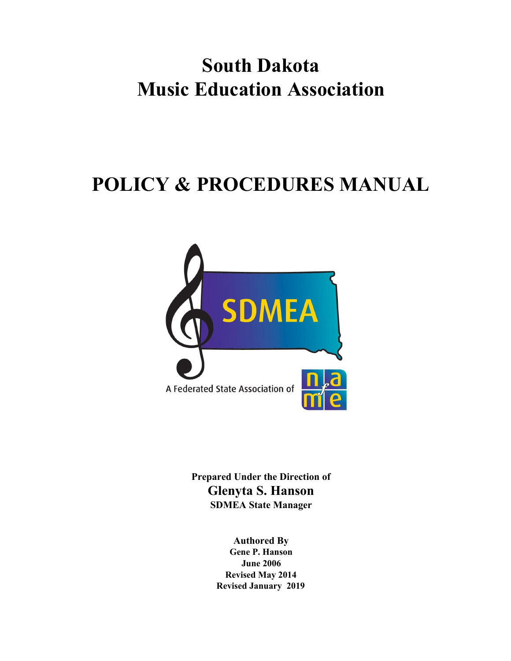# **South Dakota Music Education Association**

# **POLICY & PROCEDURES MANUAL**



**Prepared Under the Direction of Glenyta S. Hanson SDMEA State Manager**

> **Authored By Gene P. Hanson June 2006 Revised May 2014 Revised January 2019**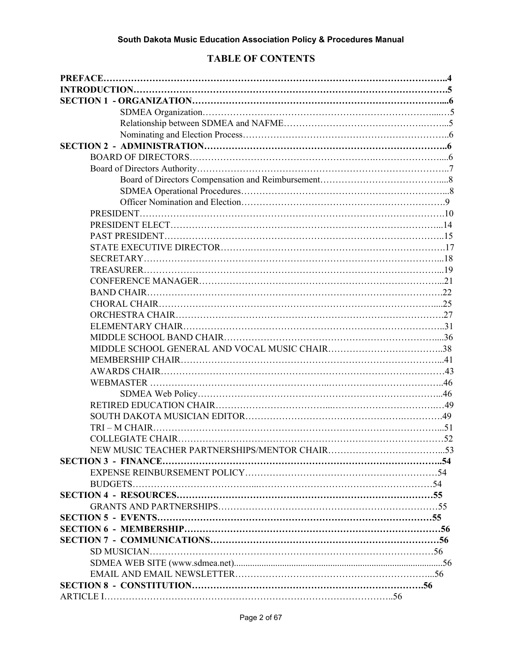# **TABLE OF CONTENTS**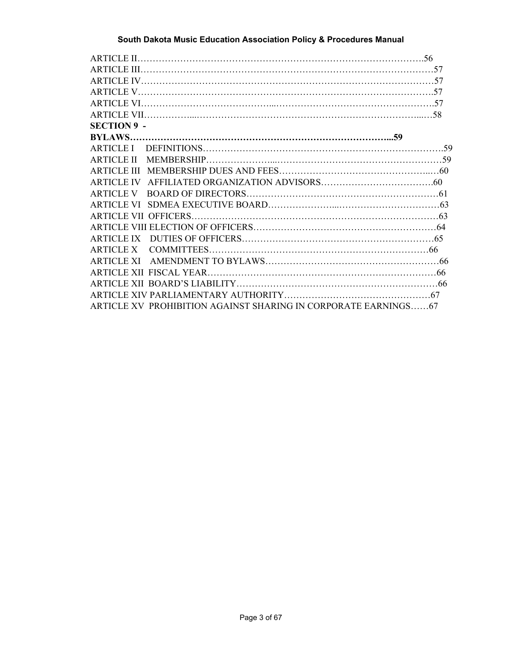| <b>SECTION 9 -</b>                                             |  |
|----------------------------------------------------------------|--|
|                                                                |  |
|                                                                |  |
|                                                                |  |
|                                                                |  |
|                                                                |  |
|                                                                |  |
|                                                                |  |
|                                                                |  |
|                                                                |  |
|                                                                |  |
|                                                                |  |
|                                                                |  |
|                                                                |  |
|                                                                |  |
|                                                                |  |
| ARTICLE XV PROHIBITION AGAINST SHARING IN CORPORATE EARNINGS67 |  |
|                                                                |  |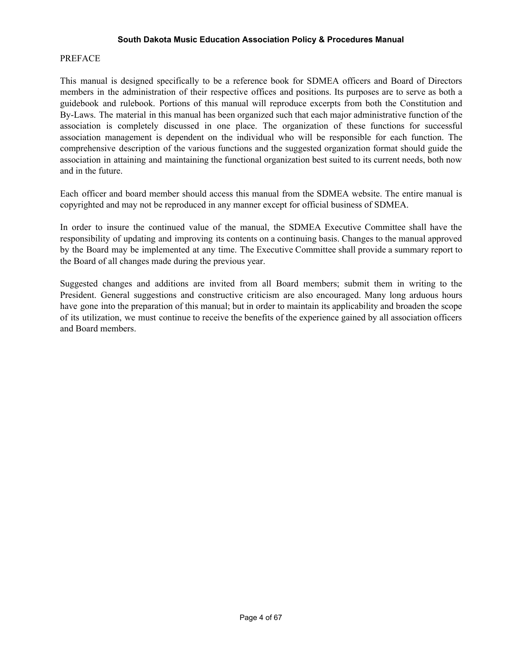#### PREFACE

This manual is designed specifically to be a reference book for SDMEA officers and Board of Directors members in the administration of their respective offices and positions. Its purposes are to serve as both a guidebook and rulebook. Portions of this manual will reproduce excerpts from both the Constitution and By-Laws. The material in this manual has been organized such that each major administrative function of the association is completely discussed in one place. The organization of these functions for successful association management is dependent on the individual who will be responsible for each function. The comprehensive description of the various functions and the suggested organization format should guide the association in attaining and maintaining the functional organization best suited to its current needs, both now and in the future.

Each officer and board member should access this manual from the SDMEA website. The entire manual is copyrighted and may not be reproduced in any manner except for official business of SDMEA.

In order to insure the continued value of the manual, the SDMEA Executive Committee shall have the responsibility of updating and improving its contents on a continuing basis. Changes to the manual approved by the Board may be implemented at any time. The Executive Committee shall provide a summary report to the Board of all changes made during the previous year.

Suggested changes and additions are invited from all Board members; submit them in writing to the President. General suggestions and constructive criticism are also encouraged. Many long arduous hours have gone into the preparation of this manual; but in order to maintain its applicability and broaden the scope of its utilization, we must continue to receive the benefits of the experience gained by all association officers and Board members.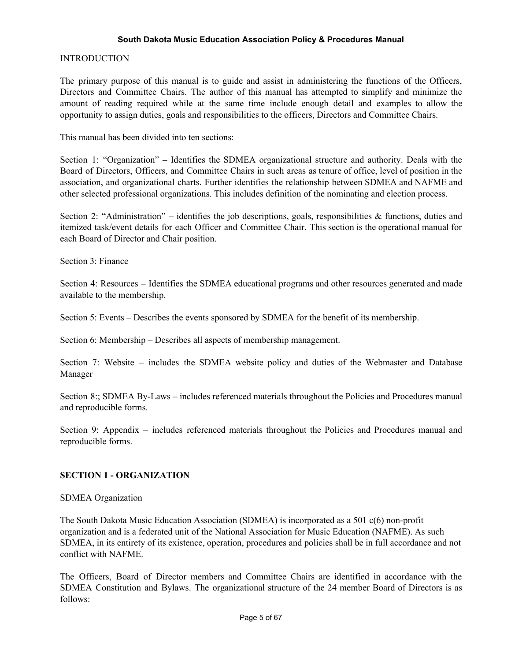## INTRODUCTION

The primary purpose of this manual is to guide and assist in administering the functions of the Officers, Directors and Committee Chairs. The author of this manual has attempted to simplify and minimize the amount of reading required while at the same time include enough detail and examples to allow the opportunity to assign duties, goals and responsibilities to the officers, Directors and Committee Chairs.

This manual has been divided into ten sections:

Section 1: "Organization" **–** Identifies the SDMEA organizational structure and authority. Deals with the Board of Directors, Officers, and Committee Chairs in such areas as tenure of office, level of position in the association, and organizational charts. Further identifies the relationship between SDMEA and NAFME and other selected professional organizations. This includes definition of the nominating and election process.

Section 2: "Administration" – identifies the job descriptions, goals, responsibilities & functions, duties and itemized task/event details for each Officer and Committee Chair. This section is the operational manual for each Board of Director and Chair position.

Section 3: Finance

Section 4: Resources – Identifies the SDMEA educational programs and other resources generated and made available to the membership.

Section 5: Events – Describes the events sponsored by SDMEA for the benefit of its membership.

Section 6: Membership – Describes all aspects of membership management.

Section 7: Website – includes the SDMEA website policy and duties of the Webmaster and Database Manager

Section 8:; SDMEA By-Laws – includes referenced materials throughout the Policies and Procedures manual and reproducible forms.

Section 9: Appendix – includes referenced materials throughout the Policies and Procedures manual and reproducible forms.

# **SECTION 1 - ORGANIZATION**

#### SDMEA Organization

The South Dakota Music Education Association (SDMEA) is incorporated as a 501 c(6) non-profit organization and is a federated unit of the National Association for Music Education (NAFME). As such SDMEA, in its entirety of its existence, operation, procedures and policies shall be in full accordance and not conflict with NAFME.

The Officers, Board of Director members and Committee Chairs are identified in accordance with the SDMEA Constitution and Bylaws. The organizational structure of the 24 member Board of Directors is as follows: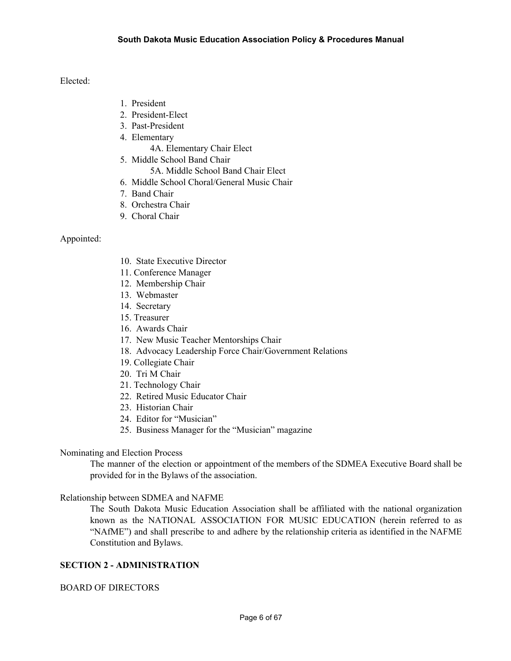Elected:

- 1. President
- 2. President-Elect
- 3. Past-President
- 4. Elementary
	- 4A. Elementary Chair Elect
- 5. Middle School Band Chair
	- 5A. Middle School Band Chair Elect
- 6. Middle School Choral/General Music Chair
- 7. Band Chair
- 8. Orchestra Chair
- 9. Choral Chair

## Appointed:

- 10. State Executive Director
- 11. Conference Manager
- 12. Membership Chair
- 13. Webmaster
- 14. Secretary
- 15. Treasurer
- 16. Awards Chair
- 17. New Music Teacher Mentorships Chair
- 18. Advocacy Leadership Force Chair/Government Relations
- 19. Collegiate Chair
- 20. Tri M Chair
- 21. Technology Chair
- 22. Retired Music Educator Chair
- 23. Historian Chair
- 24. Editor for "Musician"
- 25. Business Manager for the "Musician" magazine

#### Nominating and Election Process

The manner of the election or appointment of the members of the SDMEA Executive Board shall be provided for in the Bylaws of the association.

Relationship between SDMEA and NAFME

The South Dakota Music Education Association shall be affiliated with the national organization known as the NATIONAL ASSOCIATION FOR MUSIC EDUCATION (herein referred to as "NAfME") and shall prescribe to and adhere by the relationship criteria as identified in the NAFME Constitution and Bylaws.

# **SECTION 2 - ADMINISTRATION**

#### BOARD OF DIRECTORS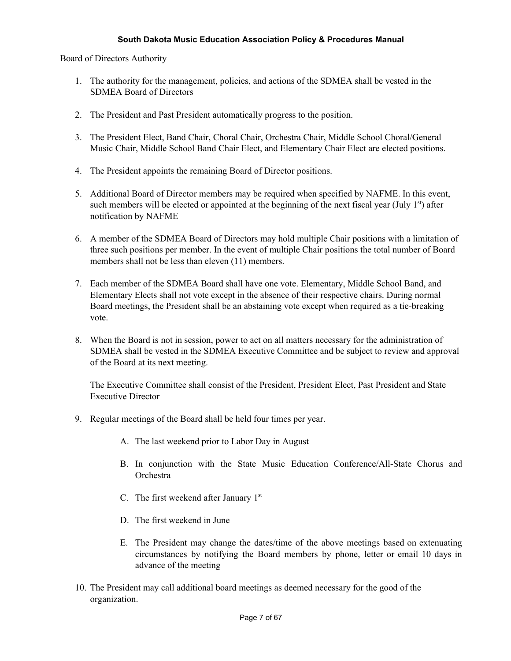Board of Directors Authority

- 1. The authority for the management, policies, and actions of the SDMEA shall be vested in the SDMEA Board of Directors
- 2. The President and Past President automatically progress to the position.
- 3. The President Elect, Band Chair, Choral Chair, Orchestra Chair, Middle School Choral/General Music Chair, Middle School Band Chair Elect, and Elementary Chair Elect are elected positions.
- 4. The President appoints the remaining Board of Director positions.
- 5. Additional Board of Director members may be required when specified by NAFME. In this event, such members will be elected or appointed at the beginning of the next fiscal year (July  $1<sup>st</sup>$ ) after notification by NAFME
- 6. A member of the SDMEA Board of Directors may hold multiple Chair positions with a limitation of three such positions per member. In the event of multiple Chair positions the total number of Board members shall not be less than eleven (11) members.
- 7. Each member of the SDMEA Board shall have one vote. Elementary, Middle School Band, and Elementary Elects shall not vote except in the absence of their respective chairs. During normal Board meetings, the President shall be an abstaining vote except when required as a tie-breaking vote.
- 8. When the Board is not in session, power to act on all matters necessary for the administration of SDMEA shall be vested in the SDMEA Executive Committee and be subject to review and approval of the Board at its next meeting.

The Executive Committee shall consist of the President, President Elect, Past President and State Executive Director

- 9. Regular meetings of the Board shall be held four times per year.
	- A. The last weekend prior to Labor Day in August
	- B. In conjunction with the State Music Education Conference/All-State Chorus and Orchestra
	- C. The first weekend after January  $1<sup>st</sup>$
	- D. The first weekend in June
	- E. The President may change the dates/time of the above meetings based on extenuating circumstances by notifying the Board members by phone, letter or email 10 days in advance of the meeting
- 10. The President may call additional board meetings as deemed necessary for the good of the organization.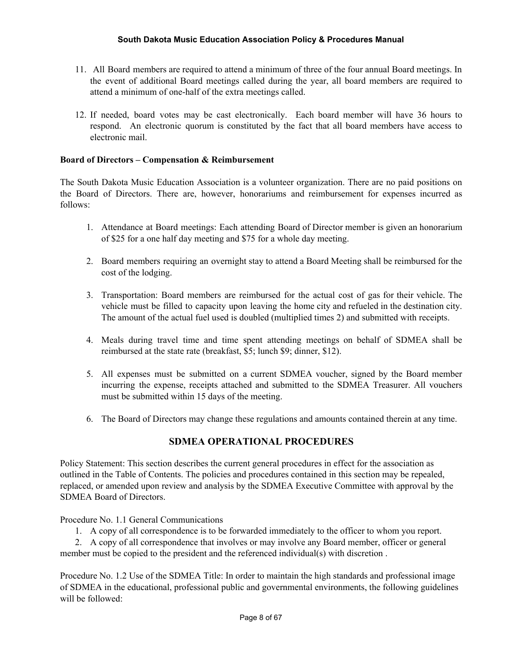- 11. All Board members are required to attend a minimum of three of the four annual Board meetings. In the event of additional Board meetings called during the year, all board members are required to attend a minimum of one-half of the extra meetings called.
- 12. If needed, board votes may be cast electronically. Each board member will have 36 hours to respond. An electronic quorum is constituted by the fact that all board members have access to electronic mail.

## **Board of Directors – Compensation & Reimbursement**

The South Dakota Music Education Association is a volunteer organization. There are no paid positions on the Board of Directors. There are, however, honorariums and reimbursement for expenses incurred as follows:

- 1. Attendance at Board meetings: Each attending Board of Director member is given an honorarium of \$25 for a one half day meeting and \$75 for a whole day meeting.
- 2. Board members requiring an overnight stay to attend a Board Meeting shall be reimbursed for the cost of the lodging.
- 3. Transportation: Board members are reimbursed for the actual cost of gas for their vehicle. The vehicle must be filled to capacity upon leaving the home city and refueled in the destination city. The amount of the actual fuel used is doubled (multiplied times 2) and submitted with receipts.
- 4. Meals during travel time and time spent attending meetings on behalf of SDMEA shall be reimbursed at the state rate (breakfast, \$5; lunch \$9; dinner, \$12).
- 5. All expenses must be submitted on a current SDMEA voucher, signed by the Board member incurring the expense, receipts attached and submitted to the SDMEA Treasurer. All vouchers must be submitted within 15 days of the meeting.
- 6. The Board of Directors may change these regulations and amounts contained therein at any time.

# **SDMEA OPERATIONAL PROCEDURES**

Policy Statement: This section describes the current general procedures in effect for the association as outlined in the Table of Contents. The policies and procedures contained in this section may be repealed, replaced, or amended upon review and analysis by the SDMEA Executive Committee with approval by the SDMEA Board of Directors.

Procedure No. 1.1 General Communications

1. A copy of all correspondence is to be forwarded immediately to the officer to whom you report.

2. A copy of all correspondence that involves or may involve any Board member, officer or general member must be copied to the president and the referenced individual(s) with discretion .

Procedure No. 1.2 Use of the SDMEA Title: In order to maintain the high standards and professional image of SDMEA in the educational, professional public and governmental environments, the following guidelines will be followed: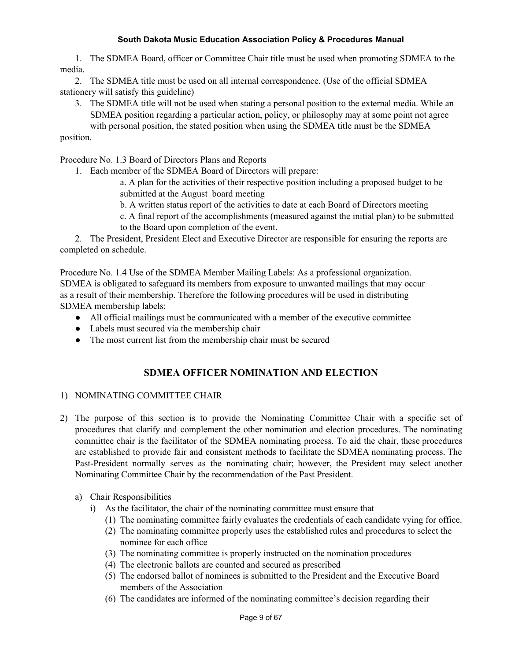1. The SDMEA Board, officer or Committee Chair title must be used when promoting SDMEA to the media.

2. The SDMEA title must be used on all internal correspondence. (Use of the official SDMEA stationery will satisfy this guideline)

3. The SDMEA title will not be used when stating a personal position to the external media. While an SDMEA position regarding a particular action, policy, or philosophy may at some point not agree with personal position, the stated position when using the SDMEA title must be the SDMEA

## position.

Procedure No. 1.3 Board of Directors Plans and Reports

1. Each member of the SDMEA Board of Directors will prepare:

a. A plan for the activities of their respective position including a proposed budget to be submitted at the August board meeting

b. A written status report of the activities to date at each Board of Directors meeting

c. A final report of the accomplishments (measured against the initial plan) to be submitted to the Board upon completion of the event.

2. The President, President Elect and Executive Director are responsible for ensuring the reports are completed on schedule.

Procedure No. 1.4 Use of the SDMEA Member Mailing Labels: As a professional organization. SDMEA is obligated to safeguard its members from exposure to unwanted mailings that may occur as a result of their membership. Therefore the following procedures will be used in distributing SDMEA membership labels:

- All official mailings must be communicated with a member of the executive committee
- Labels must secured via the membership chair
- The most current list from the membership chair must be secured

# **SDMEA OFFICER NOMINATION AND ELECTION**

#### 1) NOMINATING COMMITTEE CHAIR

- 2) The purpose of this section is to provide the Nominating Committee Chair with a specific set of procedures that clarify and complement the other nomination and election procedures. The nominating committee chair is the facilitator of the SDMEA nominating process. To aid the chair, these procedures are established to provide fair and consistent methods to facilitate the SDMEA nominating process. The Past-President normally serves as the nominating chair; however, the President may select another Nominating Committee Chair by the recommendation of the Past President.
	- a) Chair Responsibilities
		- i) As the facilitator, the chair of the nominating committee must ensure that
			- (1) The nominating committee fairly evaluates the credentials of each candidate vying for office.
			- (2) The nominating committee properly uses the established rules and procedures to select the nominee for each office
			- (3) The nominating committee is properly instructed on the nomination procedures
			- (4) The electronic ballots are counted and secured as prescribed
			- (5) The endorsed ballot of nominees is submitted to the President and the Executive Board members of the Association
			- (6) The candidates are informed of the nominating committee's decision regarding their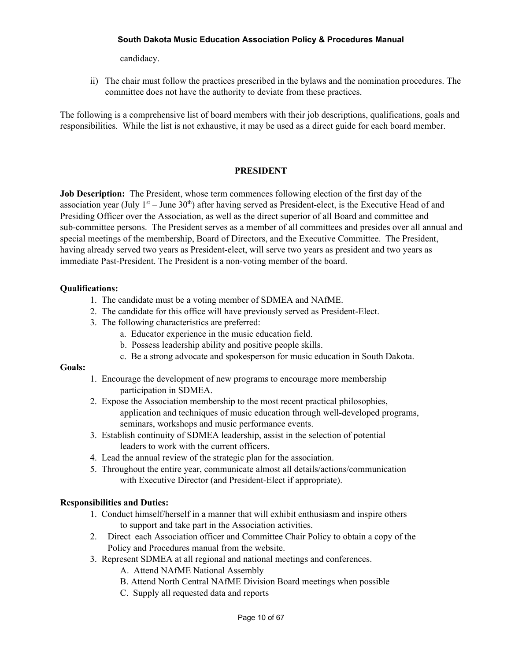candidacy.

ii) The chair must follow the practices prescribed in the bylaws and the nomination procedures. The committee does not have the authority to deviate from these practices.

The following is a comprehensive list of board members with their job descriptions, qualifications, goals and responsibilities. While the list is not exhaustive, it may be used as a direct guide for each board member.

### **PRESIDENT**

**Job Description:** The President, whose term commences following election of the first day of the association year (July  $1<sup>st</sup> -$  June  $30<sup>th</sup>$ ) after having served as President-elect, is the Executive Head of and Presiding Officer over the Association, as well as the direct superior of all Board and committee and sub-committee persons. The President serves as a member of all committees and presides over all annual and special meetings of the membership, Board of Directors, and the Executive Committee. The President, having already served two years as President-elect, will serve two years as president and two years as immediate Past-President. The President is a non-voting member of the board.

# **Qualifications:**

- 1. The candidate must be a voting member of SDMEA and NAfME.
- 2. The candidate for this office will have previously served as President-Elect.
- 3. The following characteristics are preferred:
	- a. Educator experience in the music education field.
	- b. Possess leadership ability and positive people skills.
	- c. Be a strong advocate and spokesperson for music education in South Dakota.

#### **Goals:**

- 1. Encourage the development of new programs to encourage more membership participation in SDMEA.
- 2. Expose the Association membership to the most recent practical philosophies, application and techniques of music education through well-developed programs, seminars, workshops and music performance events.
- 3. Establish continuity of SDMEA leadership, assist in the selection of potential leaders to work with the current officers.
- 4. Lead the annual review of the strategic plan for the association.
- 5. Throughout the entire year, communicate almost all details/actions/communication with Executive Director (and President-Elect if appropriate).

# **Responsibilities and Duties:**

- 1. Conduct himself/herself in a manner that will exhibit enthusiasm and inspire others to support and take part in the Association activities.
- 2. Direct each Association officer and Committee Chair Policy to obtain a copy of the Policy and Procedures manual from the website.
- 3. Represent SDMEA at all regional and national meetings and conferences.
	- A. Attend NAfME National Assembly
	- B. Attend North Central NAfME Division Board meetings when possible
	- C. Supply all requested data and reports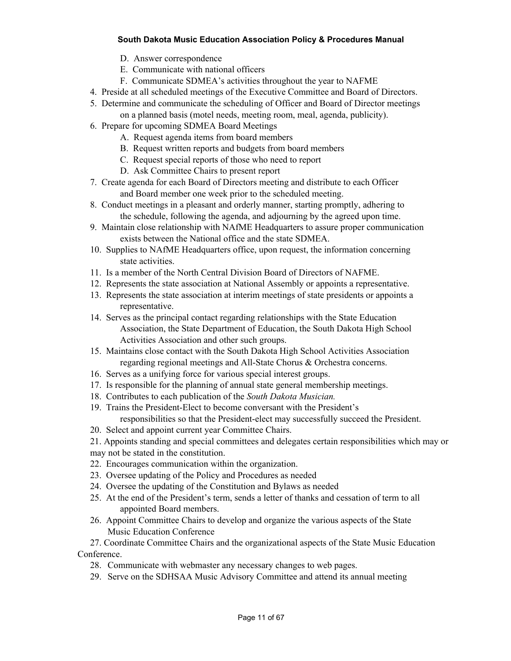- D. Answer correspondence
- E. Communicate with national officers
- F. Communicate SDMEA's activities throughout the year to NAFME
- 4. Preside at all scheduled meetings of the Executive Committee and Board of Directors.
- 5. Determine and communicate the scheduling of Officer and Board of Director meetings on a planned basis (motel needs, meeting room, meal, agenda, publicity).
- 6. Prepare for upcoming SDMEA Board Meetings
	- A. Request agenda items from board members
	- B. Request written reports and budgets from board members
	- C. Request special reports of those who need to report
	- D. Ask Committee Chairs to present report
- 7. Create agenda for each Board of Directors meeting and distribute to each Officer and Board member one week prior to the scheduled meeting.
- 8. Conduct meetings in a pleasant and orderly manner, starting promptly, adhering to the schedule, following the agenda, and adjourning by the agreed upon time.
- 9. Maintain close relationship with NAfME Headquarters to assure proper communication exists between the National office and the state SDMEA.
- 10. Supplies to NAfME Headquarters office, upon request, the information concerning state activities.
- 11. Is a member of the North Central Division Board of Directors of NAFME.
- 12. Represents the state association at National Assembly or appoints a representative.
- 13. Represents the state association at interim meetings of state presidents or appoints a representative.
- 14. Serves as the principal contact regarding relationships with the State Education Association, the State Department of Education, the South Dakota High School Activities Association and other such groups.
- 15. Maintains close contact with the South Dakota High School Activities Association regarding regional meetings and All-State Chorus & Orchestra concerns.
- 16. Serves as a unifying force for various special interest groups.
- 17. Is responsible for the planning of annual state general membership meetings.
- 18. Contributes to each publication of the *South Dakota Musician.*
- 19. Trains the President-Elect to become conversant with the President's responsibilities so that the President-elect may successfully succeed the President.
- 20. Select and appoint current year Committee Chairs.
- 21. Appoints standing and special committees and delegates certain responsibilities which may or
- may not be stated in the constitution.
- 22. Encourages communication within the organization.
- 23. Oversee updating of the Policy and Procedures as needed
- 24. Oversee the updating of the Constitution and Bylaws as needed
- 25. At the end of the President's term, sends a letter of thanks and cessation of term to all appointed Board members.
- 26. Appoint Committee Chairs to develop and organize the various aspects of the State Music Education Conference

27. Coordinate Committee Chairs and the organizational aspects of the State Music Education Conference.

- 28. Communicate with webmaster any necessary changes to web pages.
- 29. Serve on the SDHSAA Music Advisory Committee and attend its annual meeting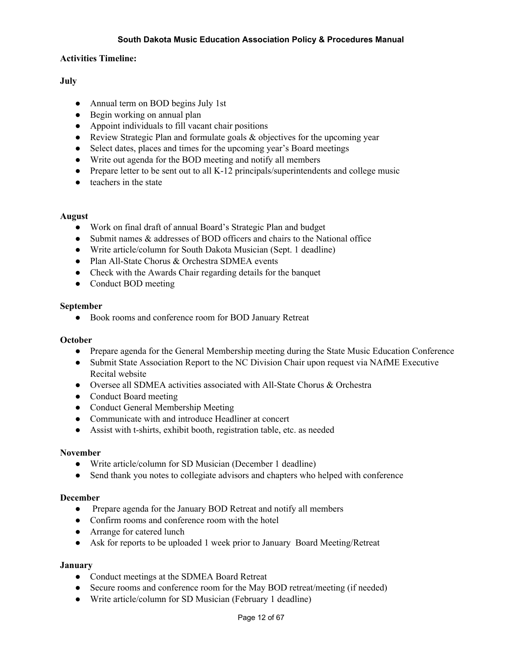## **Activities Timeline:**

# **July**

- Annual term on BOD begins July 1st
- Begin working on annual plan
- Appoint individuals to fill vacant chair positions
- Review Strategic Plan and formulate goals & objectives for the upcoming year
- Select dates, places and times for the upcoming year's Board meetings
- Write out agenda for the BOD meeting and notify all members
- Prepare letter to be sent out to all K-12 principals/superintendents and college music
- teachers in the state

#### **August**

- Work on final draft of annual Board's Strategic Plan and budget
- Submit names & addresses of BOD officers and chairs to the National office
- Write article/column for South Dakota Musician (Sept. 1 deadline)
- Plan All-State Chorus & Orchestra SDMEA events
- Check with the Awards Chair regarding details for the banquet
- Conduct BOD meeting

#### **September**

● Book rooms and conference room for BOD January Retreat

#### **October**

- Prepare agenda for the General Membership meeting during the State Music Education Conference
- Submit State Association Report to the NC Division Chair upon request via NAfME Executive Recital website
- Oversee all SDMEA activities associated with All-State Chorus & Orchestra
- Conduct Board meeting
- Conduct General Membership Meeting
- Communicate with and introduce Headliner at concert
- Assist with t-shirts, exhibit booth, registration table, etc. as needed

#### **November**

- Write article/column for SD Musician (December 1 deadline)
- Send thank you notes to collegiate advisors and chapters who helped with conference

#### **December**

- Prepare agenda for the January BOD Retreat and notify all members
- Confirm rooms and conference room with the hotel
- Arrange for catered lunch
- Ask for reports to be uploaded 1 week prior to January Board Meeting/Retreat

#### **January**

- Conduct meetings at the SDMEA Board Retreat
- Secure rooms and conference room for the May BOD retreat/meeting (if needed)
- Write article/column for SD Musician (February 1 deadline)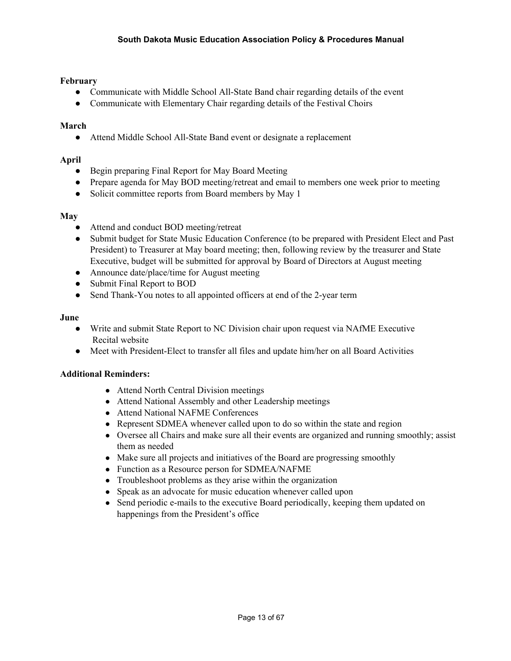# **February**

- Communicate with Middle School All-State Band chair regarding details of the event
- Communicate with Elementary Chair regarding details of the Festival Choirs

## **March**

● Attend Middle School All-State Band event or designate a replacement

# **April**

- Begin preparing Final Report for May Board Meeting
- Prepare agenda for May BOD meeting/retreat and email to members one week prior to meeting
- Solicit committee reports from Board members by May 1

## **May**

- Attend and conduct BOD meeting/retreat
- Submit budget for State Music Education Conference (to be prepared with President Elect and Past President) to Treasurer at May board meeting; then, following review by the treasurer and State Executive, budget will be submitted for approval by Board of Directors at August meeting
- Announce date/place/time for August meeting
- Submit Final Report to BOD
- Send Thank-You notes to all appointed officers at end of the 2-year term

## **June**

- Write and submit State Report to NC Division chair upon request via NAfME Executive Recital website
- Meet with President-Elect to transfer all files and update him/her on all Board Activities

# **Additional Reminders:**

- Attend North Central Division meetings
- Attend National Assembly and other Leadership meetings
- Attend National NAFME Conferences
- Represent SDMEA whenever called upon to do so within the state and region
- Oversee all Chairs and make sure all their events are organized and running smoothly; assist them as needed
- Make sure all projects and initiatives of the Board are progressing smoothly
- Function as a Resource person for SDMEA/NAFME
- Troubleshoot problems as they arise within the organization
- Speak as an advocate for music education whenever called upon
- Send periodic e-mails to the executive Board periodically, keeping them updated on happenings from the President's office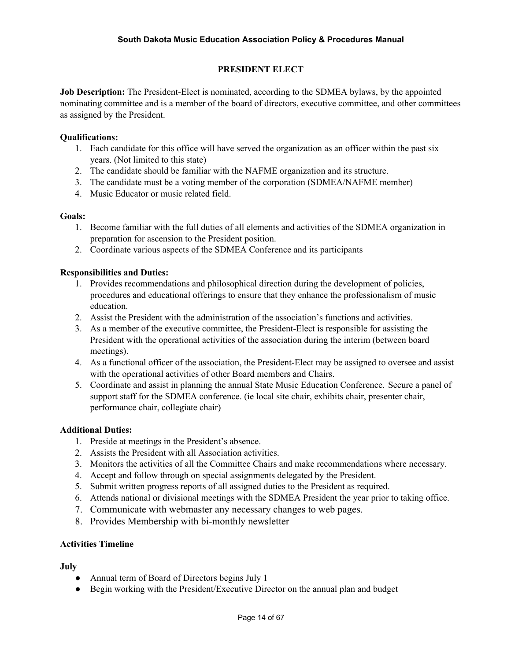# **PRESIDENT ELECT**

**Job Description:** The President-Elect is nominated, according to the SDMEA bylaws, by the appointed nominating committee and is a member of the board of directors, executive committee, and other committees as assigned by the President.

## **Qualifications:**

- 1. Each candidate for this office will have served the organization as an officer within the past six years. (Not limited to this state)
- 2. The candidate should be familiar with the NAFME organization and its structure.
- 3. The candidate must be a voting member of the corporation (SDMEA/NAFME member)
- 4. Music Educator or music related field.

#### **Goals:**

- 1. Become familiar with the full duties of all elements and activities of the SDMEA organization in preparation for ascension to the President position.
- 2. Coordinate various aspects of the SDMEA Conference and its participants

## **Responsibilities and Duties:**

- 1. Provides recommendations and philosophical direction during the development of policies, procedures and educational offerings to ensure that they enhance the professionalism of music education.
- 2. Assist the President with the administration of the association's functions and activities.
- 3. As a member of the executive committee, the President-Elect is responsible for assisting the President with the operational activities of the association during the interim (between board meetings).
- 4. As a functional officer of the association, the President-Elect may be assigned to oversee and assist with the operational activities of other Board members and Chairs.
- 5. Coordinate and assist in planning the annual State Music Education Conference. Secure a panel of support staff for the SDMEA conference. (ie local site chair, exhibits chair, presenter chair, performance chair, collegiate chair)

#### **Additional Duties:**

- 1. Preside at meetings in the President's absence.
- 2. Assists the President with all Association activities.
- 3. Monitors the activities of all the Committee Chairs and make recommendations where necessary.
- 4. Accept and follow through on special assignments delegated by the President.
- 5. Submit written progress reports of all assigned duties to the President as required.
- 6. Attends national or divisional meetings with the SDMEA President the year prior to taking office.
- 7. Communicate with webmaster any necessary changes to web pages.
- 8. Provides Membership with bi-monthly newsletter

#### **Activities Timeline**

#### **July**

- Annual term of Board of Directors begins July 1
- Begin working with the President/Executive Director on the annual plan and budget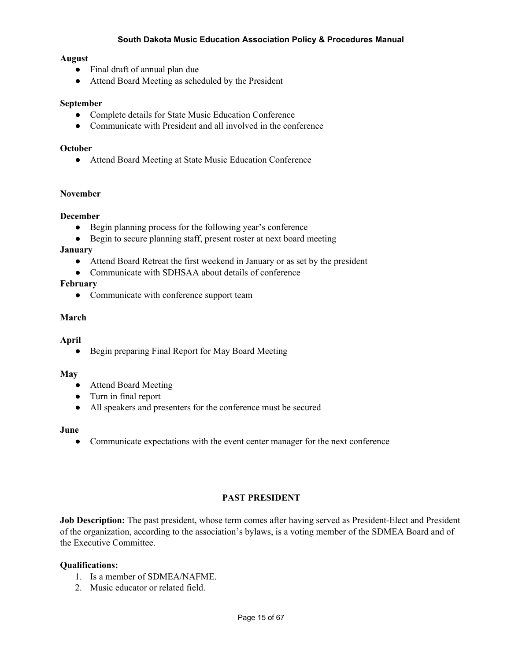## **August**

- Final draft of annual plan due
- Attend Board Meeting as scheduled by the President

#### **September**

- Complete details for State Music Education Conference
- Communicate with President and all involved in the conference

#### **October**

● Attend Board Meeting at State Music Education Conference

## **November**

## **December**

- Begin planning process for the following year's conference
- Begin to secure planning staff, present roster at next board meeting

#### **January**

- Attend Board Retreat the first weekend in January or as set by the president
- Communicate with SDHSAA about details of conference

## **February**

• Communicate with conference support team

## **March**

#### **April**

● Begin preparing Final Report for May Board Meeting

#### **May**

- Attend Board Meeting
- Turn in final report
- All speakers and presenters for the conference must be secured

#### **June**

**●** Communicate expectations with the event center manager for the next conference

# **PAST PRESIDENT**

**Job Description:** The past president, whose term comes after having served as President-Elect and President of the organization, according to the association's bylaws, is a voting member of the SDMEA Board and of the Executive Committee.

#### **Qualifications:**

- 1. Is a member of SDMEA/NAFME.
- 2. Music educator or related field.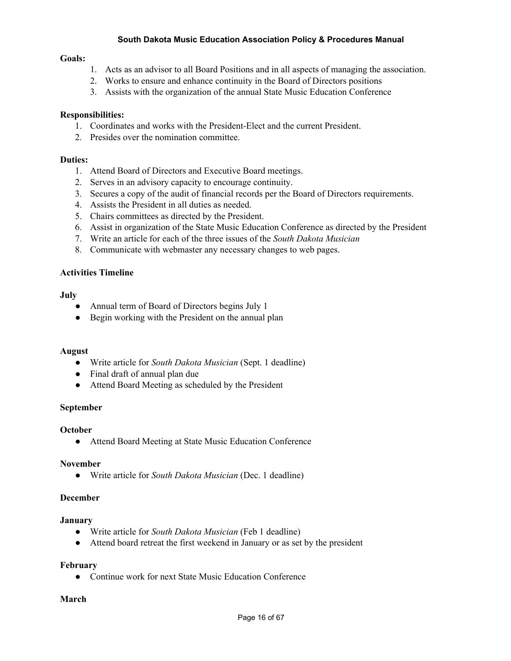#### **Goals:**

- 1. Acts as an advisor to all Board Positions and in all aspects of managing the association.
- 2. Works to ensure and enhance continuity in the Board of Directors positions
- 3. Assists with the organization of the annual State Music Education Conference

## **Responsibilities:**

- 1. Coordinates and works with the President-Elect and the current President.
- 2. Presides over the nomination committee.

#### **Duties:**

- 1. Attend Board of Directors and Executive Board meetings.
- 2. Serves in an advisory capacity to encourage continuity.
- 3. Secures a copy of the audit of financial records per the Board of Directors requirements.
- 4. Assists the President in all duties as needed.
- 5. Chairs committees as directed by the President.
- 6. Assist in organization of the State Music Education Conference as directed by the President
- 7. Write an article for each of the three issues of the *South Dakota Musician*
- 8. Communicate with webmaster any necessary changes to web pages.

## **Activities Timeline**

#### **July**

- Annual term of Board of Directors begins July 1
- **●** Begin working with the President on the annual plan

#### **August**

- Write article for *South Dakota Musician* (Sept. 1 deadline)
- Final draft of annual plan due
- Attend Board Meeting as scheduled by the President

#### **September**

#### **October**

● Attend Board Meeting at State Music Education Conference

#### **November**

● Write article for *South Dakota Musician* (Dec. 1 deadline)

#### **December**

#### **January**

- Write article for *South Dakota Musician* (Feb 1 deadline)
- Attend board retreat the first weekend in January or as set by the president

#### **February**

● Continue work for next State Music Education Conference

#### **March**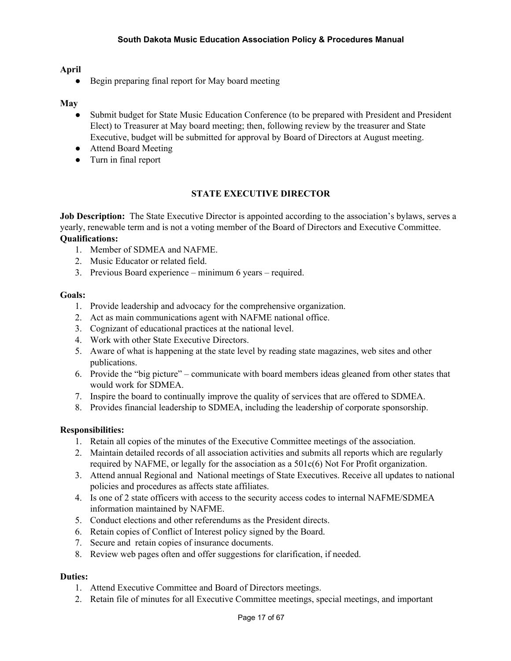# **April**

• Begin preparing final report for May board meeting

## **May**

- Submit budget for State Music Education Conference (to be prepared with President and President Elect) to Treasurer at May board meeting; then, following review by the treasurer and State Executive, budget will be submitted for approval by Board of Directors at August meeting.
- Attend Board Meeting
- Turn in final report

# **STATE EXECUTIVE DIRECTOR**

**Job Description:** The State Executive Director is appointed according to the association's bylaws, serves a yearly, renewable term and is not a voting member of the Board of Directors and Executive Committee.

# **Qualifications:**

- 1. Member of SDMEA and NAFME.
- 2. Music Educator or related field.
- 3. Previous Board experience minimum 6 years required.

#### **Goals:**

- 1. Provide leadership and advocacy for the comprehensive organization.
- 2. Act as main communications agent with NAFME national office.
- 3. Cognizant of educational practices at the national level.
- 4. Work with other State Executive Directors.
- 5. Aware of what is happening at the state level by reading state magazines, web sites and other publications.
- 6. Provide the "big picture" communicate with board members ideas gleaned from other states that would work for SDMEA.
- 7. Inspire the board to continually improve the quality of services that are offered to SDMEA.
- 8. Provides financial leadership to SDMEA, including the leadership of corporate sponsorship.

#### **Responsibilities:**

- 1. Retain all copies of the minutes of the Executive Committee meetings of the association.
- 2. Maintain detailed records of all association activities and submits all reports which are regularly required by NAFME, or legally for the association as a 501c(6) Not For Profit organization.
- 3. Attend annual Regional and National meetings of State Executives. Receive all updates to national policies and procedures as affects state affiliates.
- 4. Is one of 2 state officers with access to the security access codes to internal NAFME/SDMEA information maintained by NAFME.
- 5. Conduct elections and other referendums as the President directs.
- 6. Retain copies of Conflict of Interest policy signed by the Board.
- 7. Secure and retain copies of insurance documents.
- 8. Review web pages often and offer suggestions for clarification, if needed.

- 1. Attend Executive Committee and Board of Directors meetings.
- 2. Retain file of minutes for all Executive Committee meetings, special meetings, and important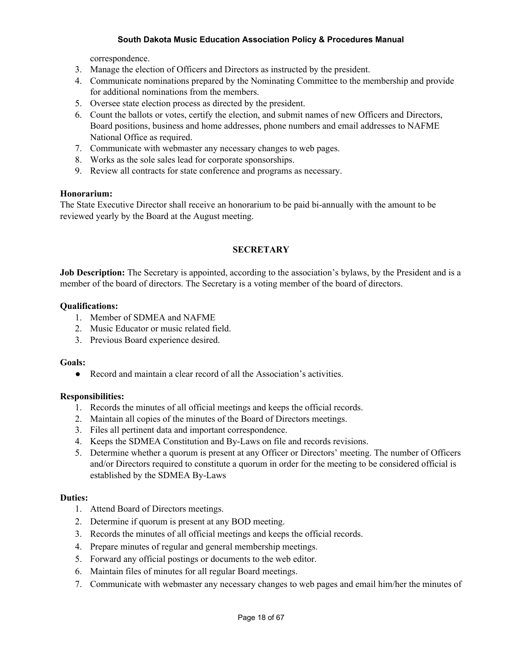correspondence.

- 3. Manage the election of Officers and Directors as instructed by the president.
- 4. Communicate nominations prepared by the Nominating Committee to the membership and provide for additional nominations from the members.
- 5. Oversee state election process as directed by the president.
- 6. Count the ballots or votes, certify the election, and submit names of new Officers and Directors, Board positions, business and home addresses, phone numbers and email addresses to NAFME National Office as required.
- 7. Communicate with webmaster any necessary changes to web pages.
- 8. Works as the sole sales lead for corporate sponsorships.
- 9. Review all contracts for state conference and programs as necessary.

#### **Honorarium:**

The State Executive Director shall receive an honorarium to be paid bi-annually with the amount to be reviewed yearly by the Board at the August meeting.

# **SECRETARY**

**Job Description:** The Secretary is appointed, according to the association's bylaws, by the President and is a member of the board of directors. The Secretary is a voting member of the board of directors.

#### **Qualifications:**

- 1. Member of SDMEA and NAFME
- 2. Music Educator or music related field.
- 3. Previous Board experience desired.

#### **Goals:**

● Record and maintain a clear record of all the Association's activities.

#### **Responsibilities:**

- 1. Records the minutes of all official meetings and keeps the official records.
- 2. Maintain all copies of the minutes of the Board of Directors meetings.
- 3. Files all pertinent data and important correspondence.
- 4. Keeps the SDMEA Constitution and By-Laws on file and records revisions.
- 5. Determine whether a quorum is present at any Officer or Directors' meeting. The number of Officers and/or Directors required to constitute a quorum in order for the meeting to be considered official is established by the SDMEA By-Laws

- 1. Attend Board of Directors meetings.
- 2. Determine if quorum is present at any BOD meeting.
- 3. Records the minutes of all official meetings and keeps the official records.
- 4. Prepare minutes of regular and general membership meetings.
- 5. Forward any official postings or documents to the web editor.
- 6. Maintain files of minutes for all regular Board meetings.
- 7. Communicate with webmaster any necessary changes to web pages and email him/her the minutes of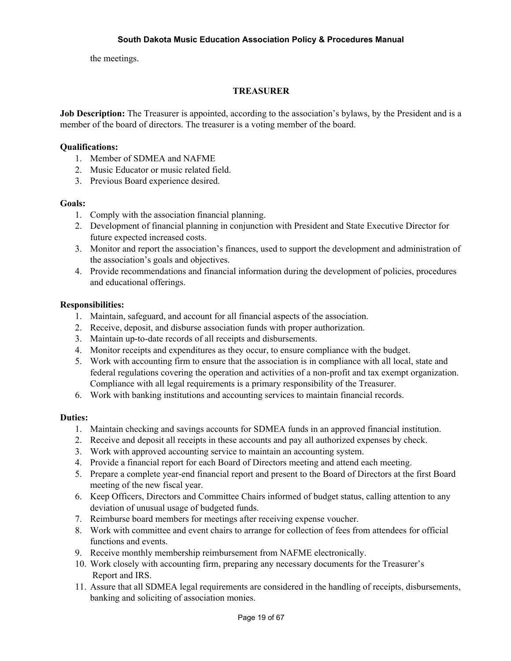the meetings.

## **TREASURER**

**Job Description:** The Treasurer is appointed, according to the association's bylaws, by the President and is a member of the board of directors. The treasurer is a voting member of the board.

## **Qualifications:**

- 1. Member of SDMEA and NAFME
- 2. Music Educator or music related field.
- 3. Previous Board experience desired.

#### **Goals:**

- 1. Comply with the association financial planning.
- 2. Development of financial planning in conjunction with President and State Executive Director for future expected increased costs.
- 3. Monitor and report the association's finances, used to support the development and administration of the association's goals and objectives.
- 4. Provide recommendations and financial information during the development of policies, procedures and educational offerings.

#### **Responsibilities:**

- 1. Maintain, safeguard, and account for all financial aspects of the association.
- 2. Receive, deposit, and disburse association funds with proper authorization.
- 3. Maintain up-to-date records of all receipts and disbursements.
- 4. Monitor receipts and expenditures as they occur, to ensure compliance with the budget.
- 5. Work with accounting firm to ensure that the association is in compliance with all local, state and federal regulations covering the operation and activities of a non-profit and tax exempt organization. Compliance with all legal requirements is a primary responsibility of the Treasurer.
- 6. Work with banking institutions and accounting services to maintain financial records.

- 1. Maintain checking and savings accounts for SDMEA funds in an approved financial institution.
- 2. Receive and deposit all receipts in these accounts and pay all authorized expenses by check.
- 3. Work with approved accounting service to maintain an accounting system.
- 4. Provide a financial report for each Board of Directors meeting and attend each meeting.
- 5. Prepare a complete year-end financial report and present to the Board of Directors at the first Board meeting of the new fiscal year.
- 6. Keep Officers, Directors and Committee Chairs informed of budget status, calling attention to any deviation of unusual usage of budgeted funds.
- 7. Reimburse board members for meetings after receiving expense voucher.
- 8. Work with committee and event chairs to arrange for collection of fees from attendees for official functions and events.
- 9. Receive monthly membership reimbursement from NAFME electronically.
- 10. Work closely with accounting firm, preparing any necessary documents for the Treasurer's Report and IRS.
- 11. Assure that all SDMEA legal requirements are considered in the handling of receipts, disbursements, banking and soliciting of association monies.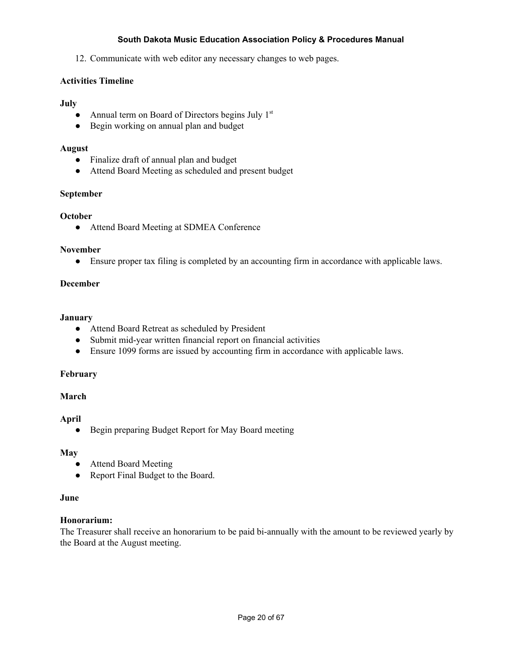12. Communicate with web editor any necessary changes to web pages.

# **Activities Timeline**

## **July**

- Annual term on Board of Directors begins July  $1<sup>st</sup>$
- Begin working on annual plan and budget

## **August**

- Finalize draft of annual plan and budget
- Attend Board Meeting as scheduled and present budget

## **September**

## **October**

● Attend Board Meeting at SDMEA Conference

#### **November**

● Ensure proper tax filing is completed by an accounting firm in accordance with applicable laws.

## **December**

#### **January**

- Attend Board Retreat as scheduled by President
- Submit mid-year written financial report on financial activities
- Ensure 1099 forms are issued by accounting firm in accordance with applicable laws.

#### **February**

#### **March**

#### **April**

● Begin preparing Budget Report for May Board meeting

# **May**

- **●** Attend Board Meeting
- Report Final Budget to the Board.

#### **June**

# **Honorarium:**

The Treasurer shall receive an honorarium to be paid bi-annually with the amount to be reviewed yearly by the Board at the August meeting.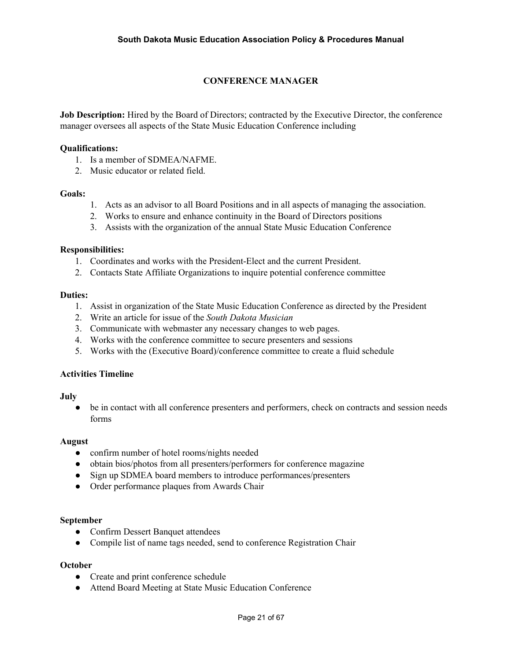# **CONFERENCE MANAGER**

**Job Description:** Hired by the Board of Directors; contracted by the Executive Director, the conference manager oversees all aspects of the State Music Education Conference including

#### **Qualifications:**

- 1. Is a member of SDMEA/NAFME.
- 2. Music educator or related field.

#### **Goals:**

- 1. Acts as an advisor to all Board Positions and in all aspects of managing the association.
- 2. Works to ensure and enhance continuity in the Board of Directors positions
- 3. Assists with the organization of the annual State Music Education Conference

#### **Responsibilities:**

- 1. Coordinates and works with the President-Elect and the current President.
- 2. Contacts State Affiliate Organizations to inquire potential conference committee

#### **Duties:**

- 1. Assist in organization of the State Music Education Conference as directed by the President
- 2. Write an article for issue of the *South Dakota Musician*
- 3. Communicate with webmaster any necessary changes to web pages.
- 4. Works with the conference committee to secure presenters and sessions
- 5. Works with the (Executive Board)/conference committee to create a fluid schedule

#### **Activities Timeline**

#### **July**

• be in contact with all conference presenters and performers, check on contracts and session needs forms

#### **August**

- confirm number of hotel rooms/nights needed
- obtain bios/photos from all presenters/performers for conference magazine
- Sign up SDMEA board members to introduce performances/presenters
- Order performance plaques from Awards Chair

#### **September**

- **●** Confirm Dessert Banquet attendees
- Compile list of name tags needed, send to conference Registration Chair

#### **October**

- **●** Create and print conference schedule
- Attend Board Meeting at State Music Education Conference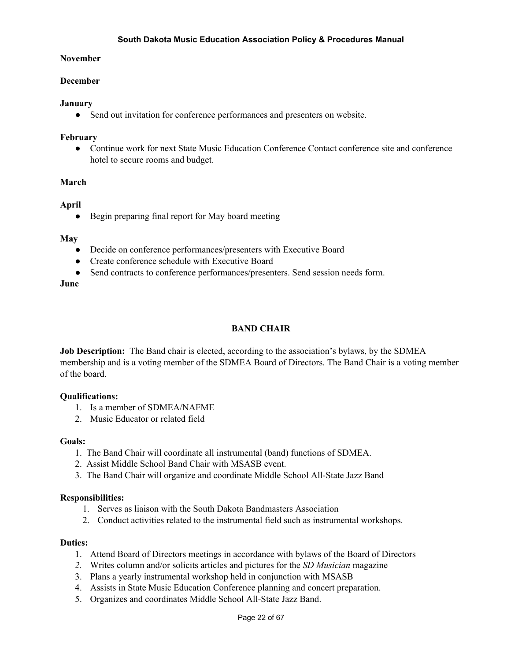#### **November**

#### **December**

#### **January**

• Send out invitation for conference performances and presenters on website.

#### **February**

● Continue work for next State Music Education Conference Contact conference site and conference hotel to secure rooms and budget.

#### **March**

#### **April**

● Begin preparing final report for May board meeting

#### **May**

- Decide on conference performances/presenters with Executive Board
- Create conference schedule with Executive Board
- Send contracts to conference performances/presenters. Send session needs form.

**June**

# **BAND CHAIR**

**Job Description:** The Band chair is elected, according to the association's bylaws, by the SDMEA membership and is a voting member of the SDMEA Board of Directors. The Band Chair is a voting member of the board.

#### **Qualifications:**

- 1. Is a member of SDMEA/NAFME
- 2. Music Educator or related field

#### **Goals:**

- 1. The Band Chair will coordinate all instrumental (band) functions of SDMEA.
- 2. Assist Middle School Band Chair with MSASB event.
- 3. The Band Chair will organize and coordinate Middle School All-State Jazz Band

#### **Responsibilities:**

- 1. Serves as liaison with the South Dakota Bandmasters Association
- 2. Conduct activities related to the instrumental field such as instrumental workshops.

- 1. Attend Board of Directors meetings in accordance with bylaws of the Board of Directors
- *2.* Writes column and/or solicits articles and pictures for the *SD Musician* magazine
- 3. Plans a yearly instrumental workshop held in conjunction with MSASB
- 4. Assists in State Music Education Conference planning and concert preparation.
- 5. Organizes and coordinates Middle School All-State Jazz Band.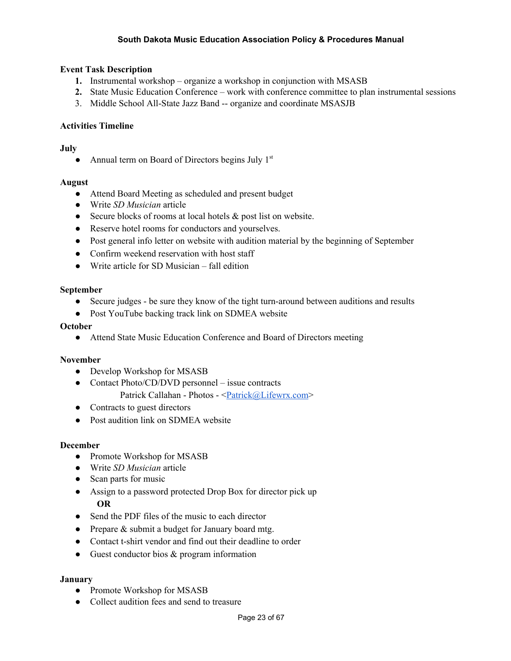# **Event Task Description**

- **1.** Instrumental workshop organize a workshop in conjunction with MSASB
- **2.** State Music Education Conference work with conference committee to plan instrumental sessions
- 3. Middle School All-State Jazz Band -- organize and coordinate MSASJB

## **Activities Timeline**

## **July**

• Annual term on Board of Directors begins July  $1<sup>st</sup>$ 

#### **August**

- Attend Board Meeting as scheduled and present budget
- Write *SD Musician* article
- Secure blocks of rooms at local hotels & post list on website.
- Reserve hotel rooms for conductors and yourselves.
- Post general info letter on website with audition material by the beginning of September
- Confirm weekend reservation with host staff
- Write article for SD Musician fall edition

#### **September**

- Secure judges be sure they know of the tight turn-around between auditions and results
- Post YouTube backing track link on SDMEA website

## **October**

● Attend State Music Education Conference and Board of Directors meeting

#### **November**

- Develop Workshop for MSASB
- Contact Photo/CD/DVD personnel issue contracts Patrick Callahan - Photos - <*Patrick@Lifewrx.com*>
- Contracts to guest directors
- Post audition link on SDMEA website

#### **December**

- Promote Workshop for MSASB
- Write *SD Musician* article
- Scan parts for music
- Assign to a password protected Drop Box for director pick up **OR**
- Send the PDF files of the music to each director
- Prepare & submit a budget for January board mtg.
- Contact t-shirt vendor and find out their deadline to order
- Guest conductor bios & program information

#### **January**

- Promote Workshop for MSASB
- Collect audition fees and send to treasure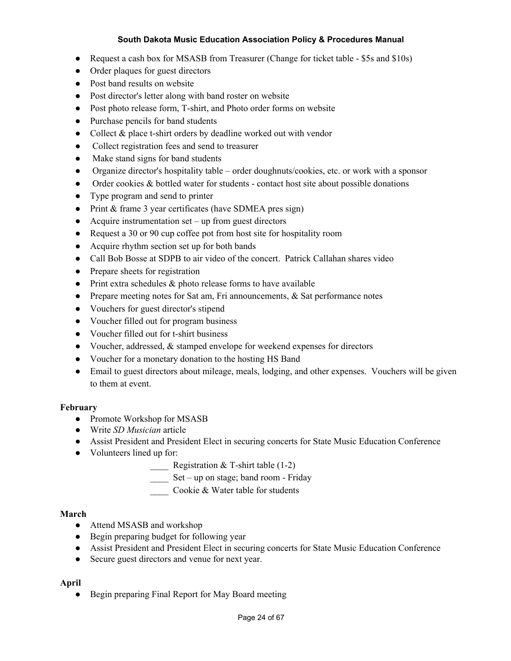- Request a cash box for MSASB from Treasurer (Change for ticket table \$5s and \$10s)
- Order plaques for guest directors
- Post band results on website
- Post director's letter along with band roster on website
- Post photo release form, T-shirt, and Photo order forms on website
- Purchase pencils for band students
- Collect & place t-shirt orders by deadline worked out with vendor
- Collect registration fees and send to treasurer
- Make stand signs for band students
- Organize director's hospitality table order doughnuts/cookies, etc. or work with a sponsor
- Order cookies & bottled water for students contact host site about possible donations
- Type program and send to printer
- Print & frame 3 year certificates (have SDMEA pres sign)
- $\bullet$  Acquire instrumentation set up from guest directors
- Request a 30 or 90 cup coffee pot from host site for hospitality room
- Acquire rhythm section set up for both bands
- Call Bob Bosse at SDPB to air video of the concert. Patrick Callahan shares video
- Prepare sheets for registration
- Print extra schedules  $\&$  photo release forms to have available
- Prepare meeting notes for Sat am, Fri announcements, & Sat performance notes
- Vouchers for guest director's stipend
- Voucher filled out for program business
- Voucher filled out for t-shirt business
- Voucher, addressed, & stamped envelope for weekend expenses for directors
- Voucher for a monetary donation to the hosting HS Band
- Email to guest directors about mileage, meals, lodging, and other expenses. Vouchers will be given to them at event.

# **February**

- Promote Workshop for MSASB
- Write *SD Musician* article
- Assist President and President Elect in securing concerts for State Music Education Conference
- Volunteers lined up for:
	- **EXECUTE:** Registration & T-shirt table  $(1-2)$
	- \_\_\_\_ Set up on stage; band room Friday
	- \_\_\_\_ Cookie & Water table for students

# **March**

- Attend MSASB and workshop
- Begin preparing budget for following year
- Assist President and President Elect in securing concerts for State Music Education Conference
- Secure guest directors and venue for next year.

# **April**

• Begin preparing Final Report for May Board meeting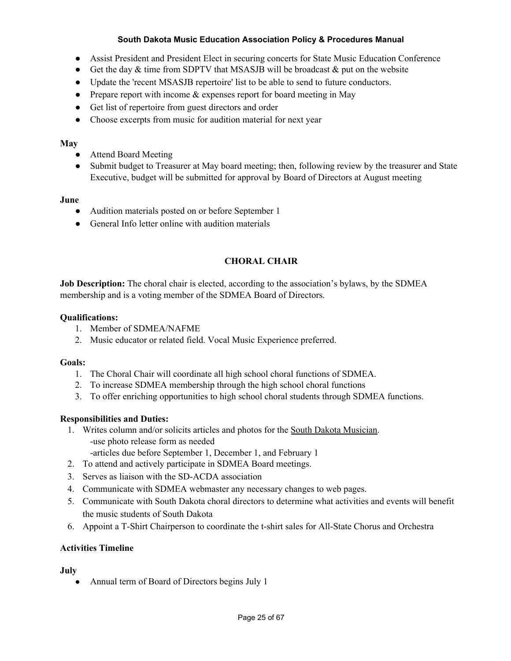- Assist President and President Elect in securing concerts for State Music Education Conference
- Get the day  $&$  time from SDPTV that MSASJB will be broadcast  $&$  put on the website
- Update the 'recent MSASJB repertoire' list to be able to send to future conductors.
- Prepare report with income & expenses report for board meeting in May
- Get list of repertoire from guest directors and order
- Choose excerpts from music for audition material for next year

## **May**

- **●** Attend Board Meeting
- **●** Submit budget to Treasurer at May board meeting; then, following review by the treasurer and State Executive, budget will be submitted for approval by Board of Directors at August meeting

## **June**

- Audition materials posted on or before September 1
- General Info letter online with audition materials

# **CHORAL CHAIR**

**Job Description:** The choral chair is elected, according to the association's bylaws, by the SDMEA membership and is a voting member of the SDMEA Board of Directors.

## **Qualifications:**

- 1. Member of SDMEA/NAFME
- 2. Music educator or related field. Vocal Music Experience preferred.

# **Goals:**

- 1. The Choral Chair will coordinate all high school choral functions of SDMEA.
- 2. To increase SDMEA membership through the high school choral functions
- 3. To offer enriching opportunities to high school choral students through SDMEA functions.

# **Responsibilities and Duties:**

- 1. Writes column and/or solicits articles and photos for the South Dakota Musician. -use photo release form as needed
	- -articles due before September 1, December 1, and February 1
- 2. To attend and actively participate in SDMEA Board meetings.
- 3. Serves as liaison with the SD-ACDA association
- 4. Communicate with SDMEA webmaster any necessary changes to web pages.
- 5. Communicate with South Dakota choral directors to determine what activities and events will benefit the music students of South Dakota
- 6. Appoint a T-Shirt Chairperson to coordinate the t-shirt sales for All-State Chorus and Orchestra

# **Activities Timeline**

#### **July**

• Annual term of Board of Directors begins July 1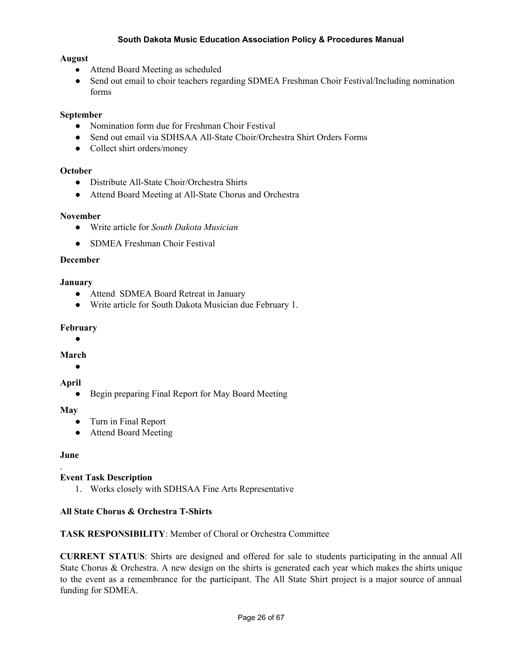#### **August**

- Attend Board Meeting as scheduled
- Send out email to choir teachers regarding SDMEA Freshman Choir Festival/Including nomination forms

## **September**

- Nomination form due for Freshman Choir Festival
- Send out email via SDHSAA All-State Choir/Orchestra Shirt Orders Forms
- Collect shirt orders/money

#### **October**

- Distribute All-State Choir/Orchestra Shirts
- Attend Board Meeting at All-State Chorus and Orchestra

#### **November**

- **●** Write article for *South Dakota Musician*
- SDMEA Freshman Choir Festival

### **December**

#### **January**

- Attend SDMEA Board Retreat in January
- Write article for South Dakota Musician due February 1.

#### **February**

**●**

#### **March**

**●**

#### **April**

**●** Begin preparing Final Report for May Board Meeting

#### **May**

- Turn in Final Report
- Attend Board Meeting

#### **June**

.

# **Event Task Description**

1. Works closely with SDHSAA Fine Arts Representative

#### **All State Chorus & Orchestra T-Shirts**

# **TASK RESPONSIBILITY**: Member of Choral or Orchestra Committee

**CURRENT STATUS**: Shirts are designed and offered for sale to students participating in the annual All State Chorus & Orchestra. A new design on the shirts is generated each year which makes the shirts unique to the event as a remembrance for the participant. The All State Shirt project is a major source of annual funding for SDMEA.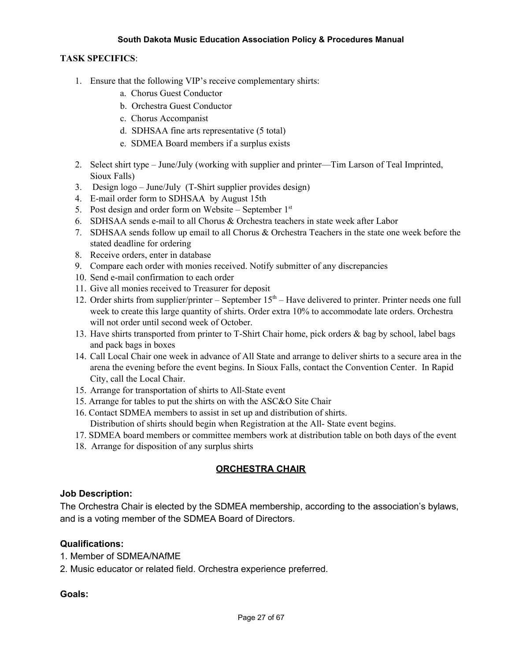## **TASK SPECIFICS**:

- 1. Ensure that the following VIP's receive complementary shirts:
	- a. Chorus Guest Conductor
	- b. Orchestra Guest Conductor
	- c. Chorus Accompanist
	- d. SDHSAA fine arts representative (5 total)
	- e. SDMEA Board members if a surplus exists
- 2. Select shirt type June/July (working with supplier and printer—Tim Larson of Teal Imprinted, Sioux Falls)
- 3. Design logo June/July (T-Shirt supplier provides design)
- 4. E-mail order form to SDHSAA by August 15th
- 5. Post design and order form on Website September  $1<sup>st</sup>$
- 6. SDHSAA sends e-mail to all Chorus & Orchestra teachers in state week after Labor
- 7. SDHSAA sends follow up email to all Chorus & Orchestra Teachers in the state one week before the stated deadline for ordering
- 8. Receive orders, enter in database
- 9. Compare each order with monies received. Notify submitter of any discrepancies
- 10. Send e-mail confirmation to each order
- 11. Give all monies received to Treasurer for deposit
- 12. Order shirts from supplier/printer September 15<sup>th</sup> Have delivered to printer. Printer needs one full week to create this large quantity of shirts. Order extra 10% to accommodate late orders. Orchestra will not order until second week of October.
- 13. Have shirts transported from printer to T-Shirt Chair home, pick orders & bag by school, label bags and pack bags in boxes
- 14. Call Local Chair one week in advance of All State and arrange to deliver shirts to a secure area in the arena the evening before the event begins. In Sioux Falls, contact the Convention Center. In Rapid City, call the Local Chair.
- 15. Arrange for transportation of shirts to All-State event
- 15. Arrange for tables to put the shirts on with the ASC&O Site Chair
- 16. Contact SDMEA members to assist in set up and distribution of shirts. Distribution of shirts should begin when Registration at the All- State event begins.
- 17. SDMEA board members or committee members work at distribution table on both days of the event
- 18. Arrange for disposition of any surplus shirts

# **ORCHESTRA CHAIR**

# **Job Description:**

The Orchestra Chair is elected by the SDMEA membership, according to the association's bylaws, and is a voting member of the SDMEA Board of Directors.

# **Qualifications:**

- 1. Member of SDMEA/NAfME
- 2. Music educator or related field. Orchestra experience preferred.

# **Goals:**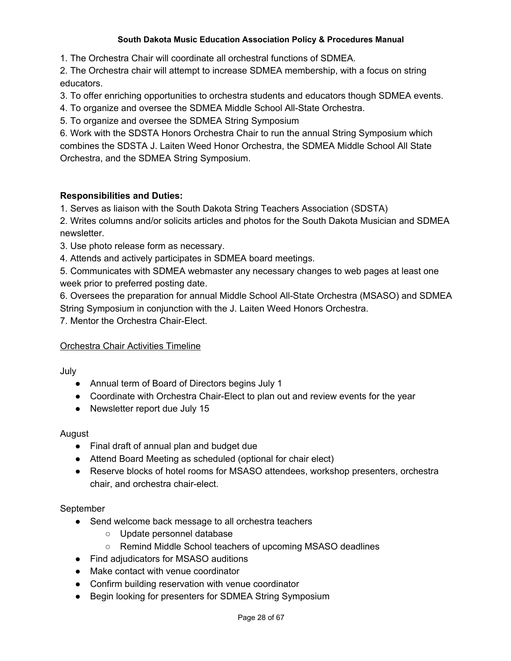1. The Orchestra Chair will coordinate all orchestral functions of SDMEA.

2. The Orchestra chair will attempt to increase SDMEA membership, with a focus on string educators.

3. To offer enriching opportunities to orchestra students and educators though SDMEA events.

4. To organize and oversee the SDMEA Middle School All-State Orchestra.

5. To organize and oversee the SDMEA String Symposium

6. Work with the SDSTA Honors Orchestra Chair to run the annual String Symposium which combines the SDSTA J. Laiten Weed Honor Orchestra, the SDMEA Middle School All State Orchestra, and the SDMEA String Symposium.

# **Responsibilities and Duties:**

1. Serves as liaison with the South Dakota String Teachers Association (SDSTA)

2. Writes columns and/or solicits articles and photos for the South Dakota Musician and SDMEA newsletter.

- 3. Use photo release form as necessary.
- 4. Attends and actively participates in SDMEA board meetings.

5. Communicates with SDMEA webmaster any necessary changes to web pages at least one week prior to preferred posting date.

6. Oversees the preparation for annual Middle School All-State Orchestra (MSASO) and SDMEA String Symposium in conjunction with the J. Laiten Weed Honors Orchestra.

7. Mentor the Orchestra Chair-Elect.

# Orchestra Chair Activities Timeline

July

- Annual term of Board of Directors begins July 1
- Coordinate with Orchestra Chair-Elect to plan out and review events for the year
- Newsletter report due July 15

# August

- Final draft of annual plan and budget due
- Attend Board Meeting as scheduled (optional for chair elect)
- Reserve blocks of hotel rooms for MSASO attendees, workshop presenters, orchestra chair, and orchestra chair-elect.

# September

- Send welcome back message to all orchestra teachers
	- Update personnel database
	- Remind Middle School teachers of upcoming MSASO deadlines
- Find adjudicators for MSASO auditions
- Make contact with venue coordinator
- Confirm building reservation with venue coordinator
- Begin looking for presenters for SDMEA String Symposium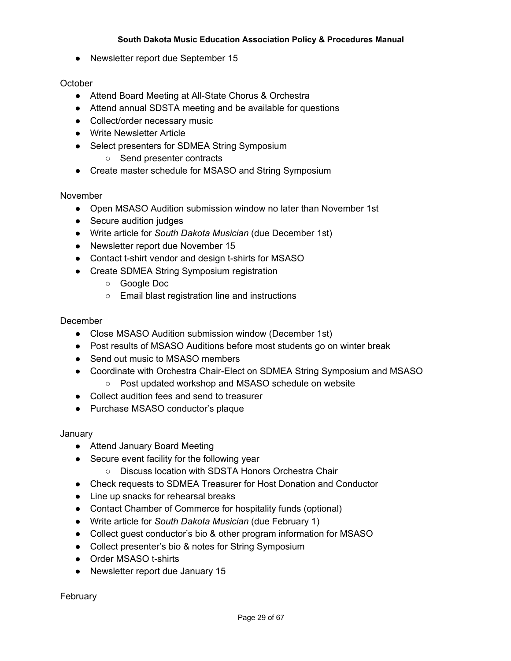● Newsletter report due September 15

# **October**

- Attend Board Meeting at All-State Chorus & Orchestra
- Attend annual SDSTA meeting and be available for questions
- Collect/order necessary music
- Write Newsletter Article
- Select presenters for SDMEA String Symposium
	- Send presenter contracts
- Create master schedule for MSASO and String Symposium

# November

- Open MSASO Audition submission window no later than November 1st
- Secure audition judges
- Write article for *South Dakota Musician* (due December 1st)
- Newsletter report due November 15
- Contact t-shirt vendor and design t-shirts for MSASO
- Create SDMEA String Symposium registration
	- Google Doc
	- Email blast registration line and instructions

# December

- Close MSASO Audition submission window (December 1st)
- Post results of MSASO Auditions before most students go on winter break
- Send out music to MSASO members
- Coordinate with Orchestra Chair-Elect on SDMEA String Symposium and MSASO ○ Post updated workshop and MSASO schedule on website
- Collect audition fees and send to treasurer
- Purchase MSASO conductor's plaque

January

- Attend January Board Meeting
- Secure event facility for the following year
	- Discuss location with SDSTA Honors Orchestra Chair
- Check requests to SDMEA Treasurer for Host Donation and Conductor
- Line up snacks for rehearsal breaks
- Contact Chamber of Commerce for hospitality funds (optional)
- Write article for *South Dakota Musician* (due February 1)
- Collect guest conductor's bio & other program information for MSASO
- Collect presenter's bio & notes for String Symposium
- Order MSASO t-shirts
- Newsletter report due January 15

February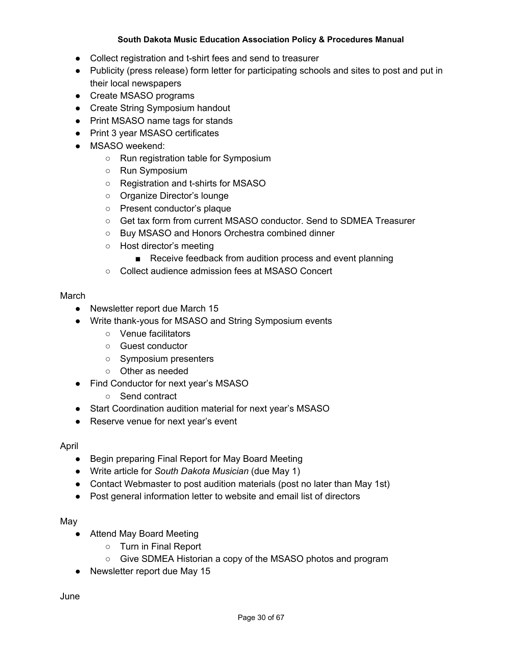- Collect registration and t-shirt fees and send to treasurer
- Publicity (press release) form letter for participating schools and sites to post and put in their local newspapers
- Create MSASO programs
- Create String Symposium handout
- Print MSASO name tags for stands
- Print 3 year MSASO certificates
- MSASO weekend:
	- Run registration table for Symposium
	- Run Symposium
	- Registration and t-shirts for MSASO
	- Organize Director's lounge
	- Present conductor's plaque
	- Get tax form from current MSASO conductor. Send to SDMEA Treasurer
	- Buy MSASO and Honors Orchestra combined dinner
	- Host director's meeting
		- Receive feedback from audition process and event planning
	- Collect audience admission fees at MSASO Concert

# March

- Newsletter report due March 15
- Write thank-yous for MSASO and String Symposium events
	- Venue facilitators
	- Guest conductor
	- Symposium presenters
	- Other as needed
- Find Conductor for next year's MSASO
	- Send contract
- Start Coordination audition material for next year's MSASO
- Reserve venue for next year's event

# April

- Begin preparing Final Report for May Board Meeting
- Write article for *South Dakota Musician* (due May 1)
- Contact Webmaster to post audition materials (post no later than May 1st)
- Post general information letter to website and email list of directors

# May

- Attend May Board Meeting
	- Turn in Final Report
	- Give SDMEA Historian a copy of the MSASO photos and program
- Newsletter report due May 15

June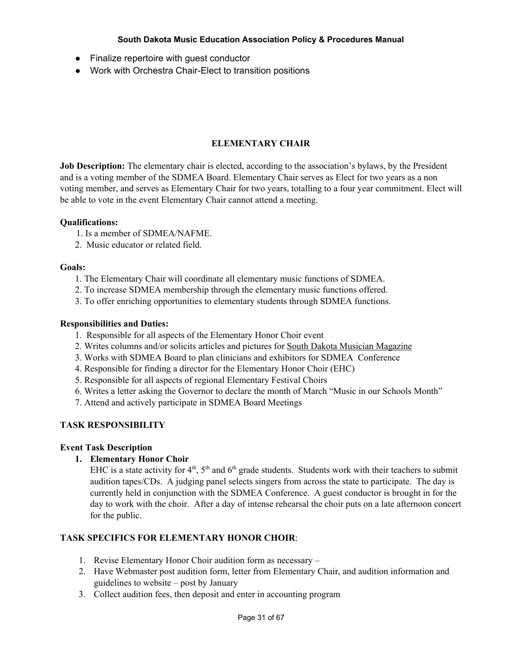- Finalize repertoire with guest conductor
- Work with Orchestra Chair-Elect to transition positions

# **ELEMENTARY CHAIR**

**Job Description:** The elementary chair is elected, according to the association's bylaws, by the President and is a voting member of the SDMEA Board. Elementary Chair serves as Elect for two years as a non voting member, and serves as Elementary Chair for two years, totalling to a four year commitment. Elect will be able to vote in the event Elementary Chair cannot attend a meeting.

#### **Qualifications:**

- 1. Is a member of SDMEA/NAFME.
- 2. Music educator or related field.

#### **Goals:**

- 1. The Elementary Chair will coordinate all elementary music functions of SDMEA.
- 2. To increase SDMEA membership through the elementary music functions offered.
- 3. To offer enriching opportunities to elementary students through SDMEA functions.

## **Responsibilities and Duties:**

- 1. Responsible for all aspects of the Elementary Honor Choir event
- 2. Writes columns and/or solicits articles and pictures for South Dakota Musician Magazine
- 3. Works with SDMEA Board to plan clinicians and exhibitors for SDMEA Conference
- 4. Responsible for finding a director for the Elementary Honor Choir (EHC)
- 5. Responsible for all aspects of regional Elementary Festival Choirs
- 6. Writes a letter asking the Governor to declare the month of March "Music in our Schools Month"
- 7. Attend and actively participate in SDMEA Board Meetings

# **TASK RESPONSIBILITY**

#### **Event Task Description**

# **1. Elementary Honor Choir**

EHC is a state activity for  $4<sup>th</sup>$ ,  $5<sup>th</sup>$  and  $6<sup>th</sup>$  grade students. Students work with their teachers to submit audition tapes/CDs. A judging panel selects singers from across the state to participate. The day is currently held in conjunction with the SDMEA Conference. A guest conductor is brought in for the day to work with the choir. After a day of intense rehearsal the choir puts on a late afternoon concert for the public.

# **TASK SPECIFICS FOR ELEMENTARY HONOR CHOIR**:

- 1. Revise Elementary Honor Choir audition form as necessary –
- 2. Have Webmaster post audition form, letter from Elementary Chair, and audition information and guidelines to website – post by January
- 3. Collect audition fees, then deposit and enter in accounting program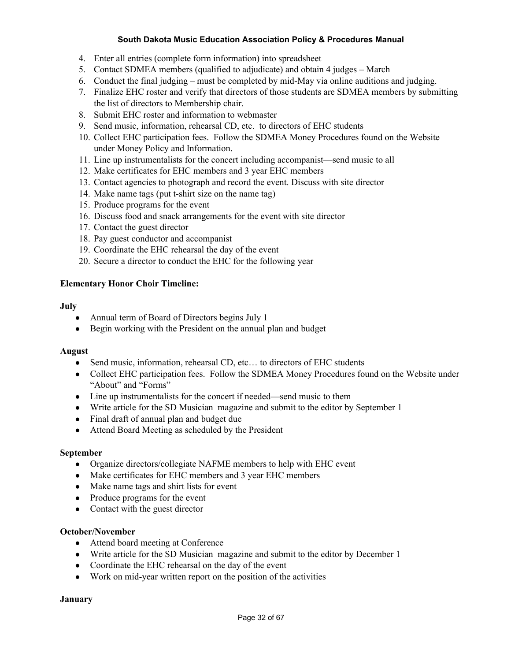- 4. Enter all entries (complete form information) into spreadsheet
- 5. Contact SDMEA members (qualified to adjudicate) and obtain 4 judges March
- 6. Conduct the final judging must be completed by mid-May via online auditions and judging.
- 7. Finalize EHC roster and verify that directors of those students are SDMEA members by submitting the list of directors to Membership chair.
- 8. Submit EHC roster and information to webmaster
- 9. Send music, information, rehearsal CD, etc. to directors of EHC students
- 10. Collect EHC participation fees. Follow the SDMEA Money Procedures found on the Website under Money Policy and Information.
- 11. Line up instrumentalists for the concert including accompanist—send music to all
- 12. Make certificates for EHC members and 3 year EHC members
- 13. Contact agencies to photograph and record the event. Discuss with site director
- 14. Make name tags (put t-shirt size on the name tag)
- 15. Produce programs for the event
- 16. Discuss food and snack arrangements for the event with site director
- 17. Contact the guest director
- 18. Pay guest conductor and accompanist
- 19. Coordinate the EHC rehearsal the day of the event
- 20. Secure a director to conduct the EHC for the following year

#### **Elementary Honor Choir Timeline:**

#### **July**

- Annual term of Board of Directors begins July 1
- Begin working with the President on the annual plan and budget

#### **August**

- Send music, information, rehearsal CD, etc... to directors of EHC students
- Collect EHC participation fees. Follow the SDMEA Money Procedures found on the Website under "About" and "Forms"
- Line up instrumentalists for the concert if needed—send music to them
- Write article for the SD Musician magazine and submit to the editor by September 1
- Final draft of annual plan and budget due
- Attend Board Meeting as scheduled by the President

#### **September**

- Organize directors/collegiate NAFME members to help with EHC event
- Make certificates for EHC members and 3 year EHC members
- Make name tags and shirt lists for event
- Produce programs for the event
- Contact with the guest director

#### **October/November**

- Attend board meeting at Conference
- Write article for the SD Musician magazine and submit to the editor by December 1
- Coordinate the EHC rehearsal on the day of the event
- Work on mid-year written report on the position of the activities

**January**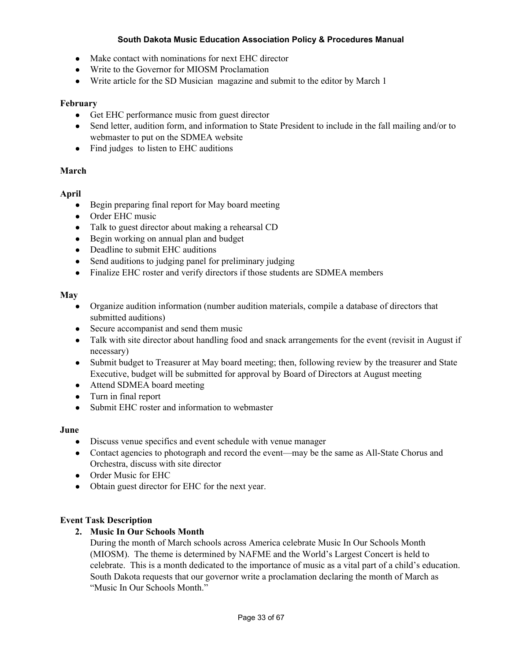- Make contact with nominations for next EHC director
- Write to the Governor for MIOSM Proclamation
- Write article for the SD Musician magazine and submit to the editor by March 1

## **February**

- Get EHC performance music from guest director
- Send letter, audition form, and information to State President to include in the fall mailing and/or to webmaster to put on the SDMEA website
- Find judges to listen to EHC auditions

## **March**

## **April**

- Begin preparing final report for May board meeting
- Order EHC music
- Talk to guest director about making a rehearsal CD
- Begin working on annual plan and budget
- Deadline to submit EHC auditions
- Send auditions to judging panel for preliminary judging
- Finalize EHC roster and verify directors if those students are SDMEA members

## **May**

- Organize audition information (number audition materials, compile a database of directors that submitted auditions)
- Secure accompanist and send them music
- Talk with site director about handling food and snack arrangements for the event (revisit in August if necessary)
- Submit budget to Treasurer at May board meeting; then, following review by the treasurer and State Executive, budget will be submitted for approval by Board of Directors at August meeting
- Attend SDMEA board meeting
- Turn in final report
- Submit EHC roster and information to webmaster

#### **June**

- Discuss venue specifics and event schedule with venue manager
- Contact agencies to photograph and record the event—may be the same as All-State Chorus and Orchestra, discuss with site director
- Order Music for EHC
- Obtain guest director for EHC for the next year.

# **Event Task Description**

# **2. Music In Our Schools Month**

During the month of March schools across America celebrate Music In Our Schools Month (MIOSM). The theme is determined by NAFME and the World's Largest Concert is held to celebrate. This is a month dedicated to the importance of music as a vital part of a child's education. South Dakota requests that our governor write a proclamation declaring the month of March as "Music In Our Schools Month."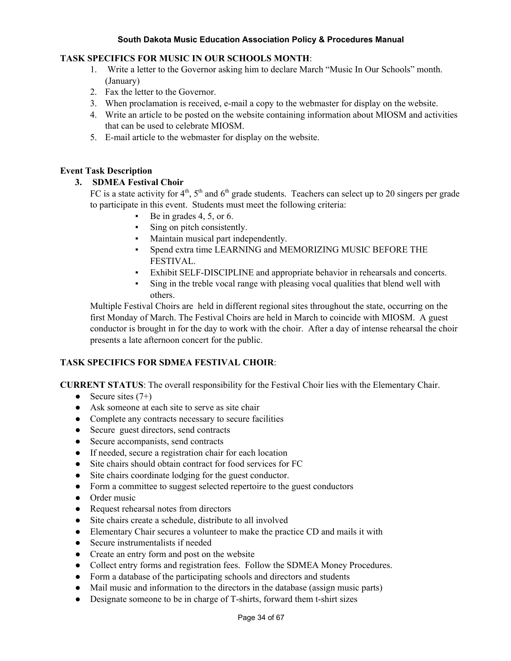# **TASK SPECIFICS FOR MUSIC IN OUR SCHOOLS MONTH**:

- 1. Write a letter to the Governor asking him to declare March "Music In Our Schools" month. (January)
- 2. Fax the letter to the Governor.
- 3. When proclamation is received, e-mail a copy to the webmaster for display on the website.
- 4. Write an article to be posted on the website containing information about MIOSM and activities that can be used to celebrate MIOSM.
- 5. E-mail article to the webmaster for display on the website.

#### **Event Task Description**

## **3. SDMEA Festival Choir**

FC is a state activity for  $4^{\text{th}}$ ,  $5^{\text{th}}$  and  $6^{\text{th}}$  grade students. Teachers can select up to 20 singers per grade to participate in this event. Students must meet the following criteria:

- Be in grades  $4, 5$ , or  $6$ .
- Sing on pitch consistently.
- Maintain musical part independently.
- Spend extra time LEARNING and MEMORIZING MUSIC BEFORE THE FESTIVAL.
- Exhibit SELF-DISCIPLINE and appropriate behavior in rehearsals and concerts.
- Sing in the treble vocal range with pleasing vocal qualities that blend well with others.

Multiple Festival Choirs are held in different regional sites throughout the state, occurring on the first Monday of March. The Festival Choirs are held in March to coincide with MIOSM. A guest conductor is brought in for the day to work with the choir. After a day of intense rehearsal the choir presents a late afternoon concert for the public.

# **TASK SPECIFICS FOR SDMEA FESTIVAL CHOIR**:

**CURRENT STATUS**: The overall responsibility for the Festival Choir lies with the Elementary Chair.

- Secure sites  $(7+)$
- Ask someone at each site to serve as site chair
- Complete any contracts necessary to secure facilities
- Secure guest directors, send contracts
- Secure accompanists, send contracts
- If needed, secure a registration chair for each location
- Site chairs should obtain contract for food services for FC
- Site chairs coordinate lodging for the guest conductor.
- Form a committee to suggest selected repertoire to the guest conductors
- Order music
- Request rehearsal notes from directors
- Site chairs create a schedule, distribute to all involved
- Elementary Chair secures a volunteer to make the practice CD and mails it with
- Secure instrumentalists if needed
- Create an entry form and post on the website
- Collect entry forms and registration fees. Follow the SDMEA Money Procedures.
- Form a database of the participating schools and directors and students
- Mail music and information to the directors in the database (assign music parts)
- Designate someone to be in charge of T-shirts, forward them t-shirt sizes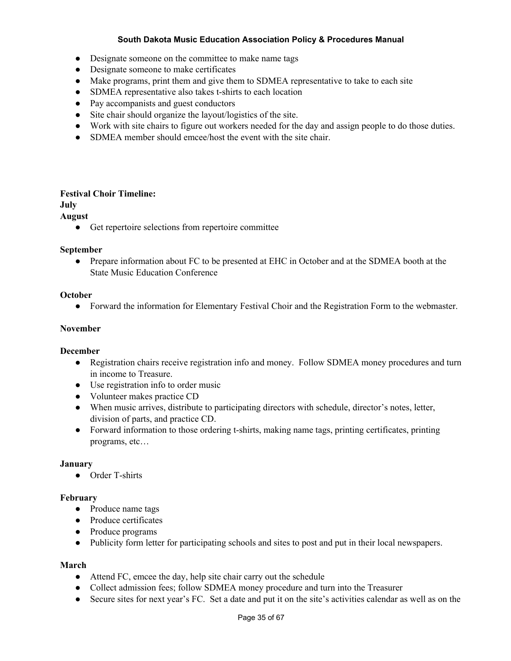- Designate someone on the committee to make name tags
- Designate someone to make certificates
- Make programs, print them and give them to SDMEA representative to take to each site
- SDMEA representative also takes t-shirts to each location
- Pay accompanists and guest conductors
- Site chair should organize the layout/logistics of the site.
- Work with site chairs to figure out workers needed for the day and assign people to do those duties.
- SDMEA member should emcee/host the event with the site chair.

#### **Festival Choir Timeline:**

# **July**

#### **August**

● Get repertoire selections from repertoire committee

#### **September**

● Prepare information about FC to be presented at EHC in October and at the SDMEA booth at the State Music Education Conference

#### **October**

● Forward the information for Elementary Festival Choir and the Registration Form to the webmaster.

#### **November**

#### **December**

- Registration chairs receive registration info and money. Follow SDMEA money procedures and turn in income to Treasure.
- Use registration info to order music
- Volunteer makes practice CD
- When music arrives, distribute to participating directors with schedule, director's notes, letter, division of parts, and practice CD.
- Forward information to those ordering t-shirts, making name tags, printing certificates, printing programs, etc…

#### **January**

● Order T-shirts

#### **February**

- **●** Produce name tags
- **●** Produce certificates
- **●** Produce programs
- **●** Publicity form letter for participating schools and sites to post and put in their local newspapers.

#### **March**

- Attend FC, emcee the day, help site chair carry out the schedule
- Collect admission fees; follow SDMEA money procedure and turn into the Treasurer
- Secure sites for next year's FC. Set a date and put it on the site's activities calendar as well as on the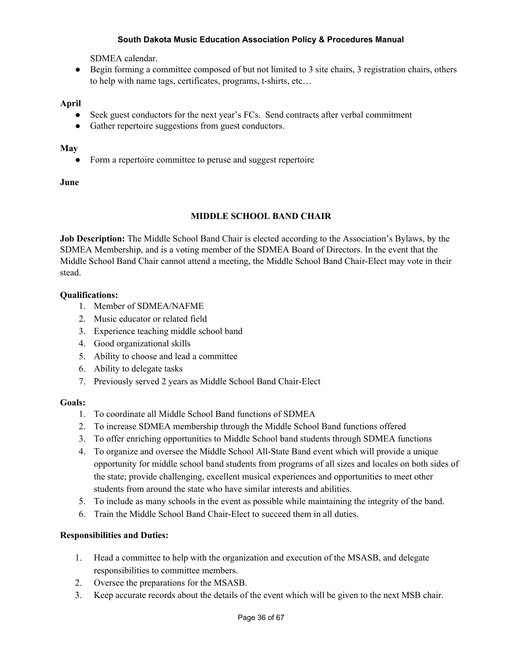SDMEA calendar.

● Begin forming a committee composed of but not limited to 3 site chairs, 3 registration chairs, others to help with name tags, certificates, programs, t-shirts, etc…

# **April**

- Seek guest conductors for the next year's FCs. Send contracts after verbal commitment
- Gather repertoire suggestions from guest conductors.

## **May**

Form a repertoire committee to peruse and suggest repertoire

## **June**

# **MIDDLE SCHOOL BAND CHAIR**

**Job Description:** The Middle School Band Chair is elected according to the Association's Bylaws, by the SDMEA Membership, and is a voting member of the SDMEA Board of Directors. In the event that the Middle School Band Chair cannot attend a meeting, the Middle School Band Chair-Elect may vote in their stead.

# **Qualifications:**

- 1. Member of SDMEA/NAFME
- 2. Music educator or related field
- 3. Experience teaching middle school band
- 4. Good organizational skills
- 5. Ability to choose and lead a committee
- 6. Ability to delegate tasks
- 7. Previously served 2 years as Middle School Band Chair-Elect

#### **Goals:**

- 1. To coordinate all Middle School Band functions of SDMEA
- 2. To increase SDMEA membership through the Middle School Band functions offered
- 3. To offer enriching opportunities to Middle School band students through SDMEA functions
- 4. To organize and oversee the Middle School All-State Band event which will provide a unique opportunity for middle school band students from programs of all sizes and locales on both sides of the state; provide challenging, excellent musical experiences and opportunities to meet other students from around the state who have similar interests and abilities.
- 5. To include as many schools in the event as possible while maintaining the integrity of the band.
- 6. Train the Middle School Band Chair-Elect to succeed them in all duties.

# **Responsibilities and Duties:**

- 1. Head a committee to help with the organization and execution of the MSASB, and delegate responsibilities to committee members.
- 2. Oversee the preparations for the MSASB.
- 3. Keep accurate records about the details of the event which will be given to the next MSB chair.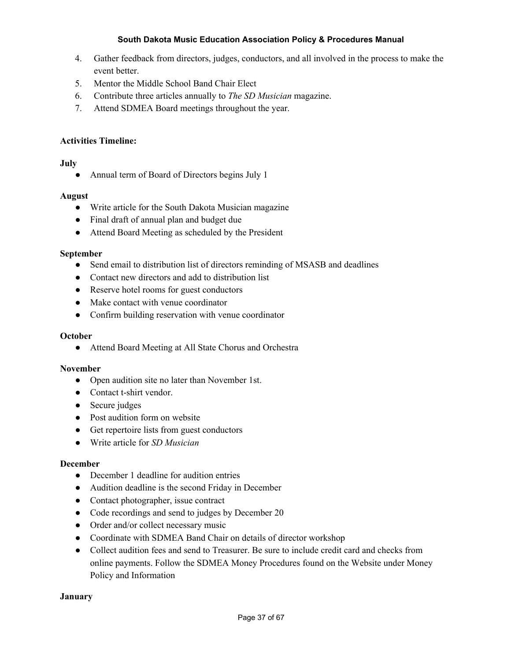- 4. Gather feedback from directors, judges, conductors, and all involved in the process to make the event better.
- 5. Mentor the Middle School Band Chair Elect
- 6. Contribute three articles annually to *The SD Musician* magazine.
- 7. Attend SDMEA Board meetings throughout the year.

# **Activities Timeline:**

# **July**

• Annual term of Board of Directors begins July 1

## **August**

- Write article for the South Dakota Musician magazine
- Final draft of annual plan and budget due
- Attend Board Meeting as scheduled by the President

#### **September**

- Send email to distribution list of directors reminding of MSASB and deadlines
- Contact new directors and add to distribution list
- Reserve hotel rooms for guest conductors
- Make contact with venue coordinator
- Confirm building reservation with venue coordinator

#### **October**

● Attend Board Meeting at All State Chorus and Orchestra

#### **November**

- Open audition site no later than November 1st.
- Contact t-shirt vendor.
- Secure judges
- Post audition form on website
- Get repertoire lists from guest conductors
- *●* Write article for *SD Musician*

#### **December**

- December 1 deadline for audition entries
- Audition deadline is the second Friday in December
- Contact photographer, issue contract
- Code recordings and send to judges by December 20
- Order and/or collect necessary music
- Coordinate with SDMEA Band Chair on details of director workshop
- Collect audition fees and send to Treasurer. Be sure to include credit card and checks from online payments. Follow the SDMEA Money Procedures found on the Website under Money Policy and Information

#### **January**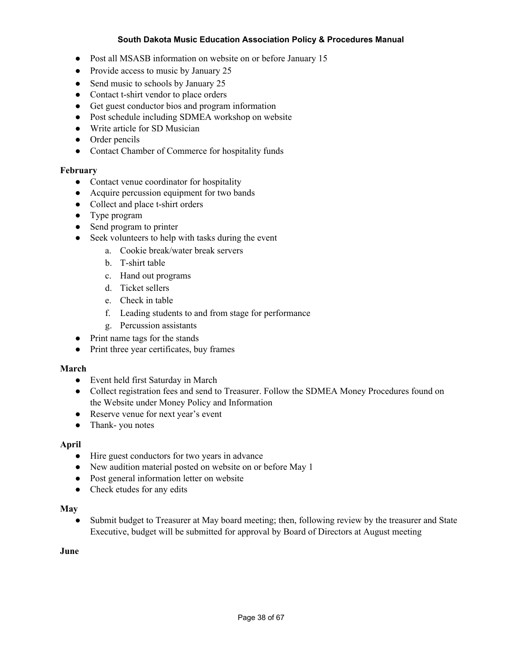- Post all MSASB information on website on or before January 15
- Provide access to music by January 25
- Send music to schools by January 25
- Contact t-shirt vendor to place orders
- Get guest conductor bios and program information
- Post schedule including SDMEA workshop on website
- Write article for SD Musician
- Order pencils
- Contact Chamber of Commerce for hospitality funds

#### **February**

- Contact venue coordinator for hospitality
- Acquire percussion equipment for two bands
- Collect and place t-shirt orders
- Type program
- Send program to printer
- Seek volunteers to help with tasks during the event
	- a. Cookie break/water break servers
	- b. T-shirt table
	- c. Hand out programs
	- d. Ticket sellers
	- e. Check in table
	- f. Leading students to and from stage for performance
	- g. Percussion assistants
- Print name tags for the stands
- Print three year certificates, buy frames

#### **March**

- Event held first Saturday in March
- Collect registration fees and send to Treasurer. Follow the SDMEA Money Procedures found on the Website under Money Policy and Information
- Reserve venue for next year's event
- Thank-you notes

#### **April**

- Hire guest conductors for two years in advance
- New audition material posted on website on or before May 1
- Post general information letter on website
- Check etudes for any edits

#### **May**

• Submit budget to Treasurer at May board meeting; then, following review by the treasurer and State Executive, budget will be submitted for approval by Board of Directors at August meeting

#### **June**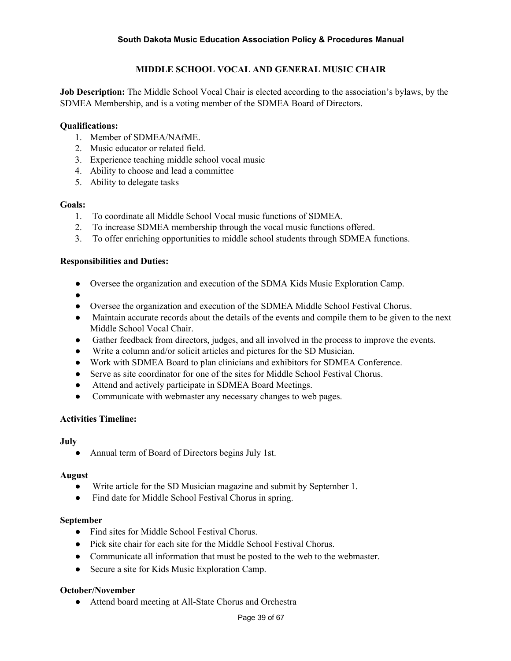# **MIDDLE SCHOOL VOCAL AND GENERAL MUSIC CHAIR**

**Job Description:** The Middle School Vocal Chair is elected according to the association's bylaws, by the SDMEA Membership, and is a voting member of the SDMEA Board of Directors.

## **Qualifications:**

- 1. Member of SDMEA/NAfME.
- 2. Music educator or related field.
- 3. Experience teaching middle school vocal music
- 4. Ability to choose and lead a committee
- 5. Ability to delegate tasks

## **Goals:**

- 1. To coordinate all Middle School Vocal music functions of SDMEA.
- 2. To increase SDMEA membership through the vocal music functions offered.
- 3. To offer enriching opportunities to middle school students through SDMEA functions.

## **Responsibilities and Duties:**

- Oversee the organization and execution of the SDMA Kids Music Exploration Camp.
- ●
- Oversee the organization and execution of the SDMEA Middle School Festival Chorus.
- Maintain accurate records about the details of the events and compile them to be given to the next Middle School Vocal Chair.
- Gather feedback from directors, judges, and all involved in the process to improve the events.
- Write a column and/or solicit articles and pictures for the SD Musician.
- Work with SDMEA Board to plan clinicians and exhibitors for SDMEA Conference.
- Serve as site coordinator for one of the sites for Middle School Festival Chorus.
- Attend and actively participate in SDMEA Board Meetings.
- Communicate with webmaster any necessary changes to web pages.

#### **Activities Timeline:**

#### **July**

• Annual term of Board of Directors begins July 1st.

#### **August**

- Write article for the SD Musician magazine and submit by September 1.
- Find date for Middle School Festival Chorus in spring.

#### **September**

- Find sites for Middle School Festival Chorus.
- Pick site chair for each site for the Middle School Festival Chorus.
- Communicate all information that must be posted to the web to the webmaster.
- Secure a site for Kids Music Exploration Camp.

#### **October/November**

● Attend board meeting at All-State Chorus and Orchestra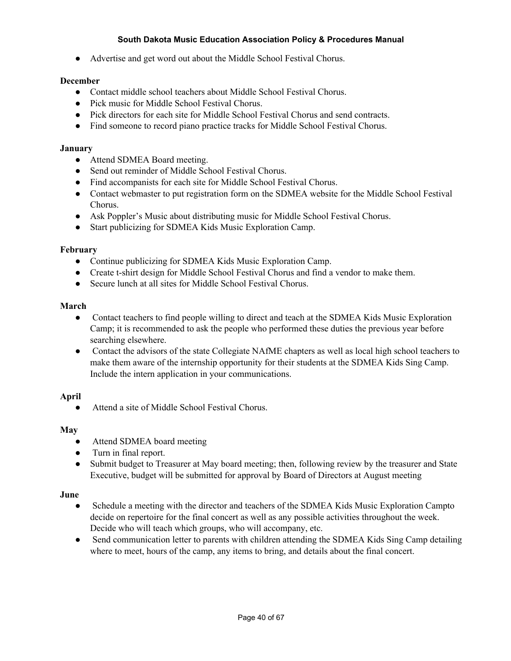● Advertise and get word out about the Middle School Festival Chorus.

### **December**

- Contact middle school teachers about Middle School Festival Chorus.
- Pick music for Middle School Festival Chorus.
- Pick directors for each site for Middle School Festival Chorus and send contracts.
- Find someone to record piano practice tracks for Middle School Festival Chorus.

#### **January**

- Attend SDMEA Board meeting.
- Send out reminder of Middle School Festival Chorus.
- Find accompanists for each site for Middle School Festival Chorus.
- Contact webmaster to put registration form on the SDMEA website for the Middle School Festival Chorus.
- Ask Poppler's Music about distributing music for Middle School Festival Chorus.
- Start publicizing for SDMEA Kids Music Exploration Camp.

#### **February**

- Continue publicizing for SDMEA Kids Music Exploration Camp.
- Create t-shirt design for Middle School Festival Chorus and find a vendor to make them.
- Secure lunch at all sites for Middle School Festival Chorus.

#### **March**

- Contact teachers to find people willing to direct and teach at the SDMEA Kids Music Exploration Camp; it is recommended to ask the people who performed these duties the previous year before searching elsewhere.
- Contact the advisors of the state Collegiate NAfME chapters as well as local high school teachers to make them aware of the internship opportunity for their students at the SDMEA Kids Sing Camp. Include the intern application in your communications.

#### **April**

● Attend a site of Middle School Festival Chorus.

#### **May**

- Attend SDMEA board meeting
- Turn in final report.
- Submit budget to Treasurer at May board meeting; then, following review by the treasurer and State Executive, budget will be submitted for approval by Board of Directors at August meeting

#### **June**

- Schedule a meeting with the director and teachers of the SDMEA Kids Music Exploration Campto decide on repertoire for the final concert as well as any possible activities throughout the week. Decide who will teach which groups, who will accompany, etc.
- Send communication letter to parents with children attending the SDMEA Kids Sing Camp detailing where to meet, hours of the camp, any items to bring, and details about the final concert.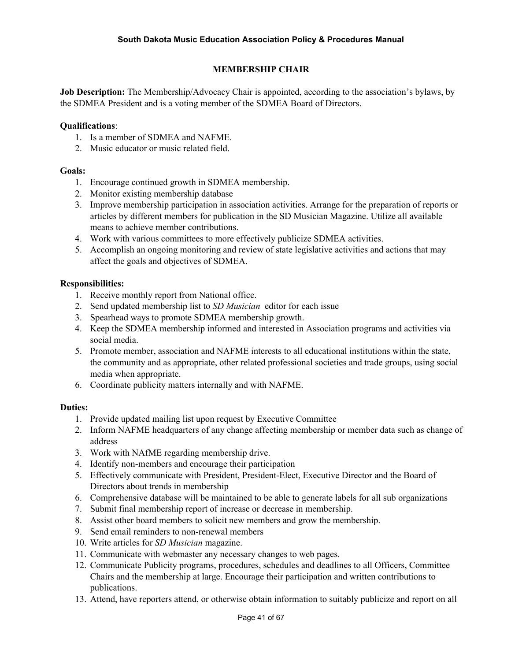# **MEMBERSHIP CHAIR**

**Job Description:** The Membership/Advocacy Chair is appointed, according to the association's bylaws, by the SDMEA President and is a voting member of the SDMEA Board of Directors.

#### **Qualifications**:

- 1. Is a member of SDMEA and NAFME.
- 2. Music educator or music related field.

#### **Goals:**

- 1. Encourage continued growth in SDMEA membership.
- 2. Monitor existing membership database
- 3. Improve membership participation in association activities. Arrange for the preparation of reports or articles by different members for publication in the SD Musician Magazine. Utilize all available means to achieve member contributions.
- 4. Work with various committees to more effectively publicize SDMEA activities.
- 5. Accomplish an ongoing monitoring and review of state legislative activities and actions that may affect the goals and objectives of SDMEA.

#### **Responsibilities:**

- 1. Receive monthly report from National office.
- 2. Send updated membership list to *SD Musician* editor for each issue
- 3. Spearhead ways to promote SDMEA membership growth.
- 4. Keep the SDMEA membership informed and interested in Association programs and activities via social media.
- 5. Promote member, association and NAFME interests to all educational institutions within the state, the community and as appropriate, other related professional societies and trade groups, using social media when appropriate.
- 6. Coordinate publicity matters internally and with NAFME.

- 1. Provide updated mailing list upon request by Executive Committee
- 2. Inform NAFME headquarters of any change affecting membership or member data such as change of address
- 3. Work with NAfME regarding membership drive.
- 4. Identify non-members and encourage their participation
- 5. Effectively communicate with President, President-Elect, Executive Director and the Board of Directors about trends in membership
- 6. Comprehensive database will be maintained to be able to generate labels for all sub organizations
- 7. Submit final membership report of increase or decrease in membership.
- 8. Assist other board members to solicit new members and grow the membership.
- 9. Send email reminders to non-renewal members
- 10. Write articles for *SD Musician* magazine.
- 11. Communicate with webmaster any necessary changes to web pages.
- 12. Communicate Publicity programs, procedures, schedules and deadlines to all Officers, Committee Chairs and the membership at large. Encourage their participation and written contributions to publications.
- 13. Attend, have reporters attend, or otherwise obtain information to suitably publicize and report on all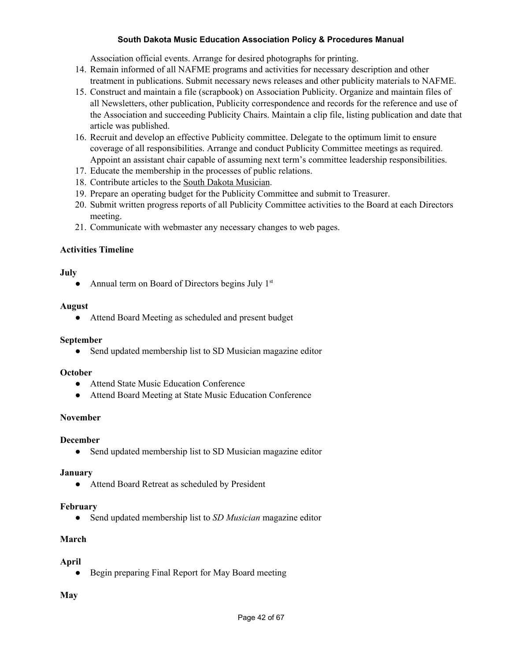Association official events. Arrange for desired photographs for printing.

- 14. Remain informed of all NAFME programs and activities for necessary description and other treatment in publications. Submit necessary news releases and other publicity materials to NAFME.
- 15. Construct and maintain a file (scrapbook) on Association Publicity. Organize and maintain files of all Newsletters, other publication, Publicity correspondence and records for the reference and use of the Association and succeeding Publicity Chairs. Maintain a clip file, listing publication and date that article was published.
- 16. Recruit and develop an effective Publicity committee. Delegate to the optimum limit to ensure coverage of all responsibilities. Arrange and conduct Publicity Committee meetings as required. Appoint an assistant chair capable of assuming next term's committee leadership responsibilities.
- 17. Educate the membership in the processes of public relations.
- 18. Contribute articles to the South Dakota Musician.
- 19. Prepare an operating budget for the Publicity Committee and submit to Treasurer.
- 20. Submit written progress reports of all Publicity Committee activities to the Board at each Directors meeting.
- 21. Communicate with webmaster any necessary changes to web pages.

# **Activities Timeline**

## **July**

• Annual term on Board of Directors begins July  $1<sup>st</sup>$ 

## **August**

● Attend Board Meeting as scheduled and present budget

# **September**

• Send updated membership list to SD Musician magazine editor

#### **October**

- Attend State Music Education Conference
- Attend Board Meeting at State Music Education Conference

# **November**

# **December**

• Send updated membership list to SD Musician magazine editor

# **January**

● Attend Board Retreat as scheduled by President

# **February**

● Send updated membership list to *SD Musician* magazine editor

# **March**

# **April**

• Begin preparing Final Report for May Board meeting

# **May**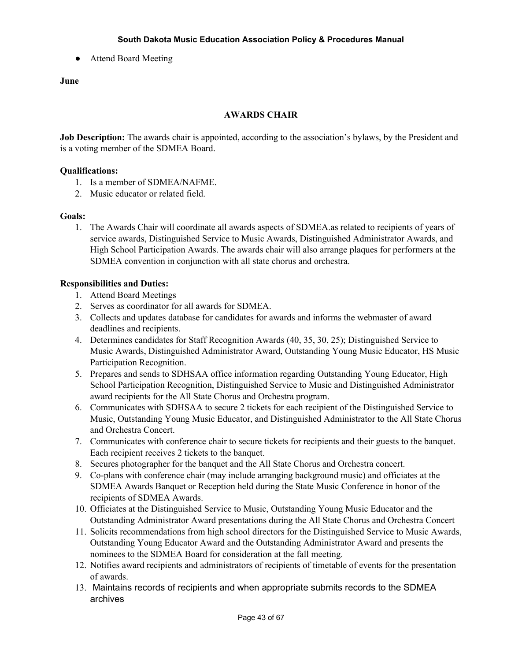**●** Attend Board Meeting

## **June**

## **AWARDS CHAIR**

**Job Description:** The awards chair is appointed, according to the association's bylaws, by the President and is a voting member of the SDMEA Board.

## **Qualifications:**

- 1. Is a member of SDMEA/NAFME.
- 2. Music educator or related field.

## **Goals:**

1. The Awards Chair will coordinate all awards aspects of SDMEA.as related to recipients of years of service awards, Distinguished Service to Music Awards, Distinguished Administrator Awards, and High School Participation Awards. The awards chair will also arrange plaques for performers at the SDMEA convention in conjunction with all state chorus and orchestra.

## **Responsibilities and Duties:**

- 1. Attend Board Meetings
- 2. Serves as coordinator for all awards for SDMEA.
- 3. Collects and updates database for candidates for awards and informs the webmaster of award deadlines and recipients.
- 4. Determines candidates for Staff Recognition Awards (40, 35, 30, 25); Distinguished Service to Music Awards, Distinguished Administrator Award, Outstanding Young Music Educator, HS Music Participation Recognition.
- 5. Prepares and sends to SDHSAA office information regarding Outstanding Young Educator, High School Participation Recognition, Distinguished Service to Music and Distinguished Administrator award recipients for the All State Chorus and Orchestra program.
- 6. Communicates with SDHSAA to secure 2 tickets for each recipient of the Distinguished Service to Music, Outstanding Young Music Educator, and Distinguished Administrator to the All State Chorus and Orchestra Concert.
- 7. Communicates with conference chair to secure tickets for recipients and their guests to the banquet. Each recipient receives 2 tickets to the banquet.
- 8. Secures photographer for the banquet and the All State Chorus and Orchestra concert.
- 9. Co-plans with conference chair (may include arranging background music) and officiates at the SDMEA Awards Banquet or Reception held during the State Music Conference in honor of the recipients of SDMEA Awards.
- 10. Officiates at the Distinguished Service to Music, Outstanding Young Music Educator and the Outstanding Administrator Award presentations during the All State Chorus and Orchestra Concert
- 11. Solicits recommendations from high school directors for the Distinguished Service to Music Awards, Outstanding Young Educator Award and the Outstanding Administrator Award and presents the nominees to the SDMEA Board for consideration at the fall meeting.
- 12. Notifies award recipients and administrators of recipients of timetable of events for the presentation of awards.
- 13. Maintains records of recipients and when appropriate submits records to the SDMEA archives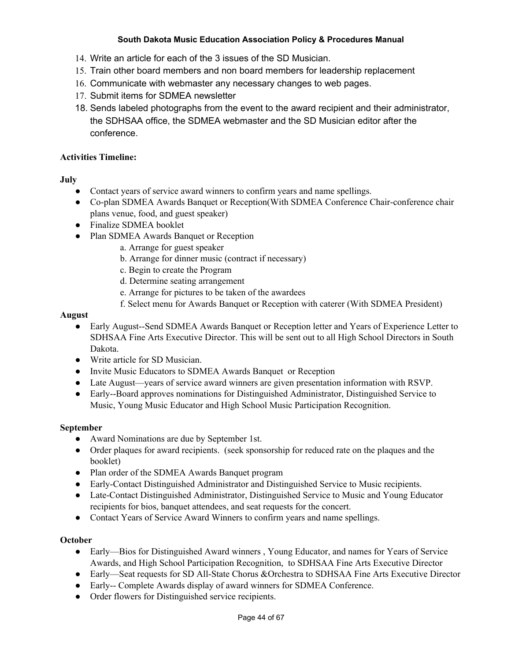- 14. Write an article for each of the 3 issues of the SD Musician.
- 15. Train other board members and non board members for leadership replacement
- 16. Communicate with webmaster any necessary changes to web pages.
- 17. Submit items for SDMEA newsletter
- 18. Sends labeled photographs from the event to the award recipient and their administrator, the SDHSAA office, the SDMEA webmaster and the SD Musician editor after the conference.

# **Activities Timeline:**

# **July**

- Contact years of service award winners to confirm years and name spellings.
- Co-plan SDMEA Awards Banquet or Reception(With SDMEA Conference Chair-conference chair plans venue, food, and guest speaker)
- Finalize SDMEA booklet
- Plan SDMEA Awards Banquet or Reception
	- a. Arrange for guest speaker
	- b. Arrange for dinner music (contract if necessary)
	- c. Begin to create the Program
	- d. Determine seating arrangement
	- e. Arrange for pictures to be taken of the awardees
	- f. Select menu for Awards Banquet or Reception with caterer (With SDMEA President)

# **August**

- Early August--Send SDMEA Awards Banquet or Reception letter and Years of Experience Letter to SDHSAA Fine Arts Executive Director. This will be sent out to all High School Directors in South Dakota.
- Write article for SD Musician.
- Invite Music Educators to SDMEA Awards Banquet or Reception
- Late August—years of service award winners are given presentation information with RSVP.
- Early--Board approves nominations for Distinguished Administrator, Distinguished Service to Music, Young Music Educator and High School Music Participation Recognition.

# **September**

- Award Nominations are due by September 1st.
- Order plaques for award recipients. (seek sponsorship for reduced rate on the plaques and the booklet)
- Plan order of the SDMEA Awards Banquet program
- Early-Contact Distinguished Administrator and Distinguished Service to Music recipients.
- Late-Contact Distinguished Administrator, Distinguished Service to Music and Young Educator recipients for bios, banquet attendees, and seat requests for the concert.
- Contact Years of Service Award Winners to confirm years and name spellings.

# **October**

- Early—Bios for Distinguished Award winners, Young Educator, and names for Years of Service Awards, and High School Participation Recognition, to SDHSAA Fine Arts Executive Director
- Early—Seat requests for SD All-State Chorus &Orchestra to SDHSAA Fine Arts Executive Director
- Early-- Complete Awards display of award winners for SDMEA Conference.
- Order flowers for Distinguished service recipients.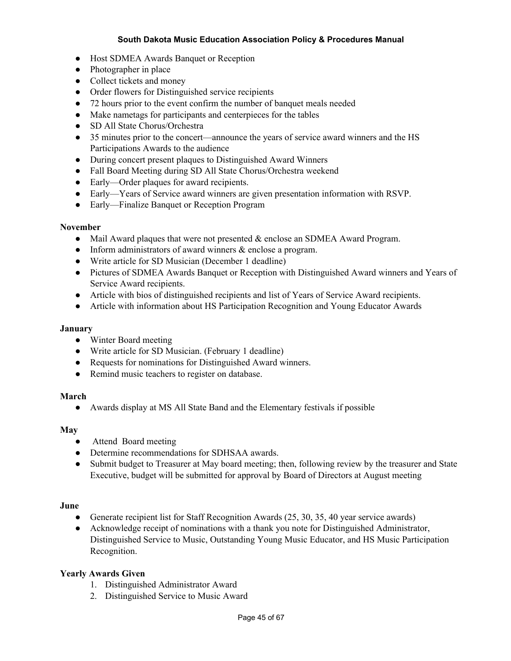- Host SDMEA Awards Banquet or Reception
- Photographer in place
- Collect tickets and money
- Order flowers for Distinguished service recipients
- 72 hours prior to the event confirm the number of banquet meals needed
- Make nametags for participants and centerpieces for the tables
- SD All State Chorus/Orchestra
- 35 minutes prior to the concert—announce the years of service award winners and the HS Participations Awards to the audience
- During concert present plaques to Distinguished Award Winners
- Fall Board Meeting during SD All State Chorus/Orchestra weekend
- Early—Order plaques for award recipients.
- Early—Years of Service award winners are given presentation information with RSVP.
- Early—Finalize Banquet or Reception Program

#### **November**

- Mail Award plaques that were not presented & enclose an SDMEA Award Program.
- Inform administrators of award winners  $\&$  enclose a program.
- Write article for SD Musician (December 1 deadline)
- Pictures of SDMEA Awards Banquet or Reception with Distinguished Award winners and Years of Service Award recipients.
- Article with bios of distinguished recipients and list of Years of Service Award recipients.
- Article with information about HS Participation Recognition and Young Educator Awards

#### **January**

- Winter Board meeting
- Write article for SD Musician. (February 1 deadline)
- Requests for nominations for Distinguished Award winners.
- Remind music teachers to register on database.

#### **March**

● Awards display at MS All State Band and the Elementary festivals if possible

### **May**

- Attend Board meeting
- Determine recommendations for SDHSAA awards.
- Submit budget to Treasurer at May board meeting; then, following review by the treasurer and State Executive, budget will be submitted for approval by Board of Directors at August meeting

#### **June**

- Generate recipient list for Staff Recognition Awards (25, 30, 35, 40 year service awards)
- Acknowledge receipt of nominations with a thank you note for Distinguished Administrator, Distinguished Service to Music, Outstanding Young Music Educator, and HS Music Participation Recognition.

## **Yearly Awards Given**

- 1. Distinguished Administrator Award
- 2. Distinguished Service to Music Award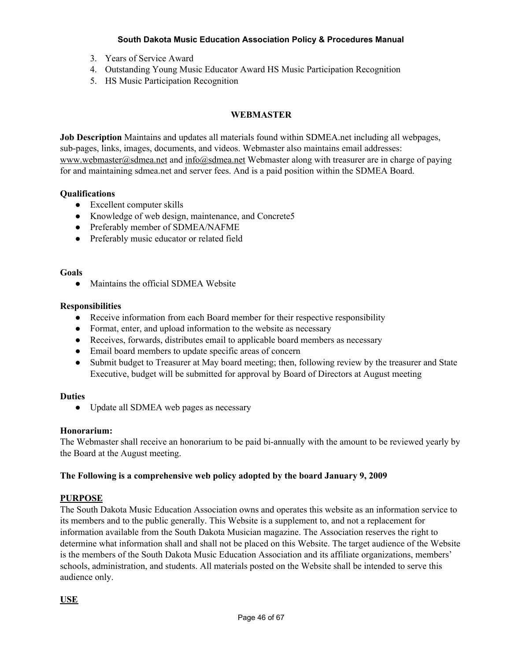- 3. Years of Service Award
- 4. Outstanding Young Music Educator Award HS Music Participation Recognition
- 5. HS Music Participation Recognition

# **WEBMASTER**

**Job Description** Maintains and updates all materials found within SDMEA.net including all webpages, sub-pages, links, images, documents, and videos. Webmaster also maintains email addresses: [www.webmaster@sdmea.net](http://www.webmaster@sdmea.net/) and [info@sdmea.net](mailto:info@sdmea.net) Webmaster along with treasurer are in charge of paying for and maintaining sdmea.net and server fees. And is a paid position within the SDMEA Board.

# **Qualifications**

- Excellent computer skills
- Knowledge of web design, maintenance, and Concrete5
- Preferably member of SDMEA/NAFME
- Preferably music educator or related field

#### **Goals**

• Maintains the official SDMEA Website

## **Responsibilities**

- Receive information from each Board member for their respective responsibility
- Format, enter, and upload information to the website as necessary
- Receives, forwards, distributes email to applicable board members as necessary
- Email board members to update specific areas of concern
- **●** Submit budget to Treasurer at May board meeting; then, following review by the treasurer and State Executive, budget will be submitted for approval by Board of Directors at August meeting

# **Duties**

● Update all SDMEA web pages as necessary

#### **Honorarium:**

The Webmaster shall receive an honorarium to be paid bi-annually with the amount to be reviewed yearly by the Board at the August meeting.

# **The Following is a comprehensive web policy adopted by the board January 9, 2009**

# **PURPOSE**

The South Dakota Music Education Association owns and operates this website as an information service to its members and to the public generally. This Website is a supplement to, and not a replacement for information available from the South Dakota Musician magazine. The Association reserves the right to determine what information shall and shall not be placed on this Website. The target audience of the Website is the members of the South Dakota Music Education Association and its affiliate organizations, members' schools, administration, and students. All materials posted on the Website shall be intended to serve this audience only.

# **USE**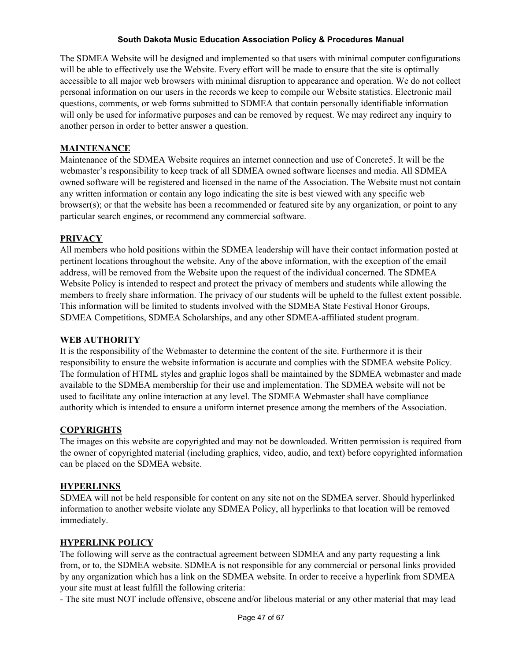The SDMEA Website will be designed and implemented so that users with minimal computer configurations will be able to effectively use the Website. Every effort will be made to ensure that the site is optimally accessible to all major web browsers with minimal disruption to appearance and operation. We do not collect personal information on our users in the records we keep to compile our Website statistics. Electronic mail questions, comments, or web forms submitted to SDMEA that contain personally identifiable information will only be used for informative purposes and can be removed by request. We may redirect any inquiry to another person in order to better answer a question.

# **MAINTENANCE**

Maintenance of the SDMEA Website requires an internet connection and use of Concrete5. It will be the webmaster's responsibility to keep track of all SDMEA owned software licenses and media. All SDMEA owned software will be registered and licensed in the name of the Association. The Website must not contain any written information or contain any logo indicating the site is best viewed with any specific web browser(s); or that the website has been a recommended or featured site by any organization, or point to any particular search engines, or recommend any commercial software.

## **PRIVACY**

All members who hold positions within the SDMEA leadership will have their contact information posted at pertinent locations throughout the website. Any of the above information, with the exception of the email address, will be removed from the Website upon the request of the individual concerned. The SDMEA Website Policy is intended to respect and protect the privacy of members and students while allowing the members to freely share information. The privacy of our students will be upheld to the fullest extent possible. This information will be limited to students involved with the SDMEA State Festival Honor Groups, SDMEA Competitions, SDMEA Scholarships, and any other SDMEA-affiliated student program.

# **WEB AUTHORITY**

It is the responsibility of the Webmaster to determine the content of the site. Furthermore it is their responsibility to ensure the website information is accurate and complies with the SDMEA website Policy. The formulation of HTML styles and graphic logos shall be maintained by the SDMEA webmaster and made available to the SDMEA membership for their use and implementation. The SDMEA website will not be used to facilitate any online interaction at any level. The SDMEA Webmaster shall have compliance authority which is intended to ensure a uniform internet presence among the members of the Association.

#### **COPYRIGHTS**

The images on this website are copyrighted and may not be downloaded. Written permission is required from the owner of copyrighted material (including graphics, video, audio, and text) before copyrighted information can be placed on the SDMEA website.

# **HYPERLINKS**

SDMEA will not be held responsible for content on any site not on the SDMEA server. Should hyperlinked information to another website violate any SDMEA Policy, all hyperlinks to that location will be removed immediately.

### **HYPERLINK POLICY**

The following will serve as the contractual agreement between SDMEA and any party requesting a link from, or to, the SDMEA website. SDMEA is not responsible for any commercial or personal links provided by any organization which has a link on the SDMEA website. In order to receive a hyperlink from SDMEA your site must at least fulfill the following criteria:

- The site must NOT include offensive, obscene and/or libelous material or any other material that may lead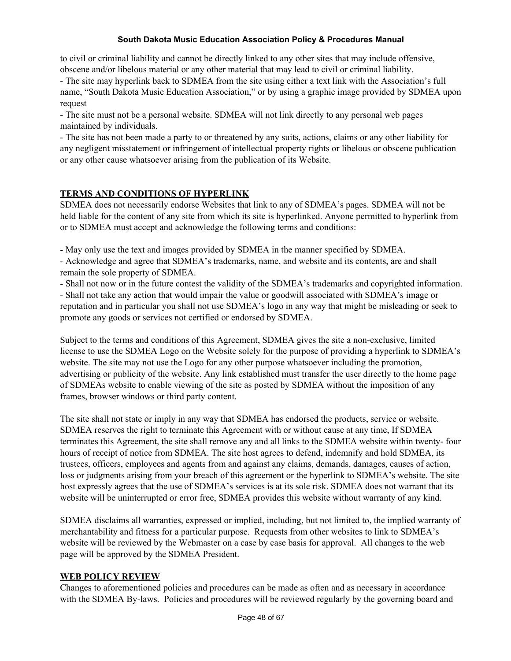to civil or criminal liability and cannot be directly linked to any other sites that may include offensive, obscene and/or libelous material or any other material that may lead to civil or criminal liability.

- The site may hyperlink back to SDMEA from the site using either a text link with the Association's full name, "South Dakota Music Education Association," or by using a graphic image provided by SDMEA upon request

- The site must not be a personal website. SDMEA will not link directly to any personal web pages maintained by individuals.

- The site has not been made a party to or threatened by any suits, actions, claims or any other liability for any negligent misstatement or infringement of intellectual property rights or libelous or obscene publication or any other cause whatsoever arising from the publication of its Website.

# **TERMS AND CONDITIONS OF HYPERLINK**

SDMEA does not necessarily endorse Websites that link to any of SDMEA's pages. SDMEA will not be held liable for the content of any site from which its site is hyperlinked. Anyone permitted to hyperlink from or to SDMEA must accept and acknowledge the following terms and conditions:

- May only use the text and images provided by SDMEA in the manner specified by SDMEA.

- Acknowledge and agree that SDMEA's trademarks, name, and website and its contents, are and shall remain the sole property of SDMEA.

- Shall not now or in the future contest the validity of the SDMEA's trademarks and copyrighted information.

- Shall not take any action that would impair the value or goodwill associated with SDMEA's image or reputation and in particular you shall not use SDMEA's logo in any way that might be misleading or seek to promote any goods or services not certified or endorsed by SDMEA.

Subject to the terms and conditions of this Agreement, SDMEA gives the site a non-exclusive, limited license to use the SDMEA Logo on the Website solely for the purpose of providing a hyperlink to SDMEA's website. The site may not use the Logo for any other purpose whatsoever including the promotion, advertising or publicity of the website. Any link established must transfer the user directly to the home page of SDMEAs website to enable viewing of the site as posted by SDMEA without the imposition of any frames, browser windows or third party content.

The site shall not state or imply in any way that SDMEA has endorsed the products, service or website. SDMEA reserves the right to terminate this Agreement with or without cause at any time, If SDMEA terminates this Agreement, the site shall remove any and all links to the SDMEA website within twenty- four hours of receipt of notice from SDMEA. The site host agrees to defend, indemnify and hold SDMEA, its trustees, officers, employees and agents from and against any claims, demands, damages, causes of action, loss or judgments arising from your breach of this agreement or the hyperlink to SDMEA's website. The site host expressly agrees that the use of SDMEA's services is at its sole risk. SDMEA does not warrant that its website will be uninterrupted or error free, SDMEA provides this website without warranty of any kind.

SDMEA disclaims all warranties, expressed or implied, including, but not limited to, the implied warranty of merchantability and fitness for a particular purpose. Requests from other websites to link to SDMEA's website will be reviewed by the Webmaster on a case by case basis for approval. All changes to the web page will be approved by the SDMEA President.

# **WEB POLICY REVIEW**

Changes to aforementioned policies and procedures can be made as often and as necessary in accordance with the SDMEA By-laws. Policies and procedures will be reviewed regularly by the governing board and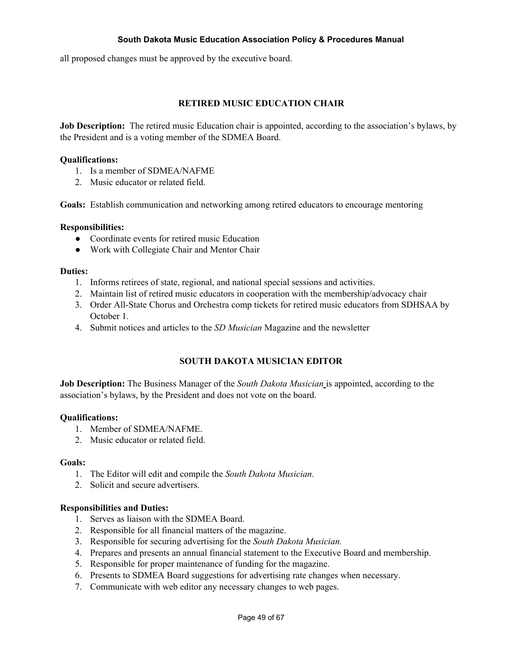all proposed changes must be approved by the executive board.

## **RETIRED MUSIC EDUCATION CHAIR**

**Job Description:** The retired music Education chair is appointed, according to the association's bylaws, by the President and is a voting member of the SDMEA Board.

#### **Qualifications:**

- 1. Is a member of SDMEA/NAFME
- 2. Music educator or related field.

**Goals:** Establish communication and networking among retired educators to encourage mentoring

#### **Responsibilities:**

- Coordinate events for retired music Education
- Work with Collegiate Chair and Mentor Chair

#### **Duties:**

- 1. Informs retirees of state, regional, and national special sessions and activities.
- 2. Maintain list of retired music educators in cooperation with the membership/advocacy chair
- 3. Order All-State Chorus and Orchestra comp tickets for retired music educators from SDHSAA by October 1.
- 4. Submit notices and articles to the *SD Musician* Magazine and the newsletter

#### **SOUTH DAKOTA MUSICIAN EDITOR**

**Job Description:** The Business Manager of the *South Dakota Musician* is appointed, according to the association's bylaws, by the President and does not vote on the board.

#### **Qualifications:**

- 1. Member of SDMEA/NAFME.
- 2. Music educator or related field.

#### **Goals:**

- 1. The Editor will edit and compile the *South Dakota Musician.*
- 2. Solicit and secure advertisers.

#### **Responsibilities and Duties:**

- 1. Serves as liaison with the SDMEA Board.
- 2. Responsible for all financial matters of the magazine.
- 3. Responsible for securing advertising for the *South Dakota Musician.*
- 4. Prepares and presents an annual financial statement to the Executive Board and membership.
- 5. Responsible for proper maintenance of funding for the magazine.
- 6. Presents to SDMEA Board suggestions for advertising rate changes when necessary.
- 7. Communicate with web editor any necessary changes to web pages.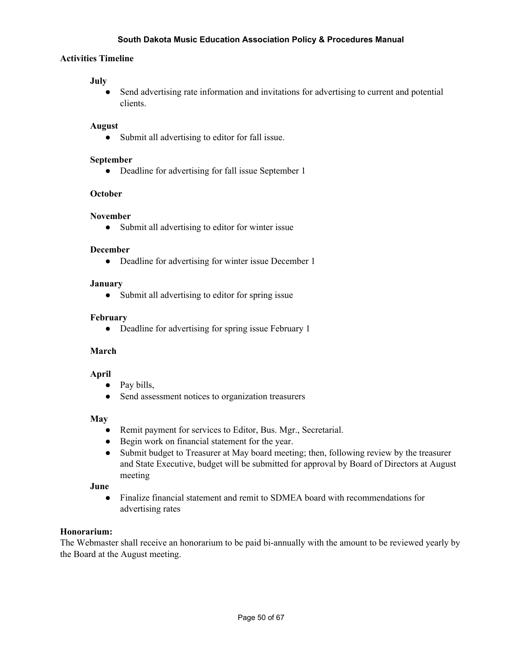## **Activities Timeline**

#### **July**

● Send advertising rate information and invitations for advertising to current and potential clients.

## **August**

● Submit all advertising to editor for fall issue.

#### **September**

• Deadline for advertising for fall issue September 1

# **October**

#### **November**

• Submit all advertising to editor for winter issue

#### **December**

● Deadline for advertising for winter issue December 1

#### **January**

• Submit all advertising to editor for spring issue

#### **February**

• Deadline for advertising for spring issue February 1

#### **March**

#### **April**

- Pay bills,
- Send assessment notices to organization treasurers

#### **May**

- Remit payment for services to Editor, Bus. Mgr., Secretarial.
- Begin work on financial statement for the year.
- **●** Submit budget to Treasurer at May board meeting; then, following review by the treasurer and State Executive, budget will be submitted for approval by Board of Directors at August meeting

#### **June**

● Finalize financial statement and remit to SDMEA board with recommendations for advertising rates

#### **Honorarium:**

The Webmaster shall receive an honorarium to be paid bi-annually with the amount to be reviewed yearly by the Board at the August meeting.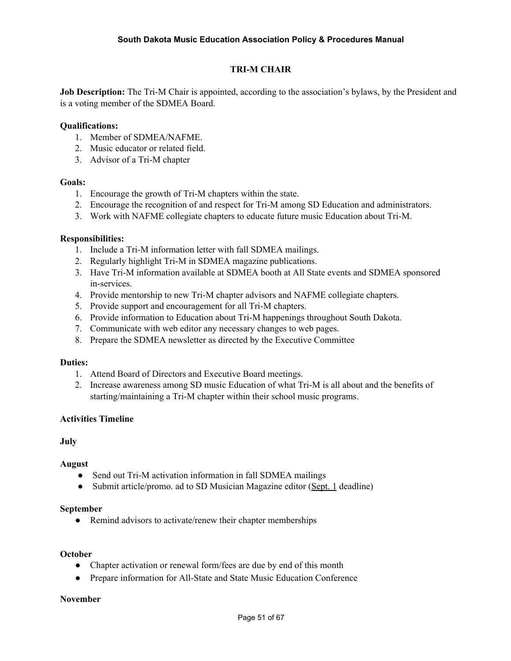# **TRI-M CHAIR**

**Job Description:** The Tri-M Chair is appointed, according to the association's bylaws, by the President and is a voting member of the SDMEA Board.

#### **Qualifications:**

- 1. Member of SDMEA/NAFME.
- 2. Music educator or related field.
- 3. Advisor of a Tri-M chapter

#### **Goals:**

- 1. Encourage the growth of Tri-M chapters within the state.
- 2. Encourage the recognition of and respect for Tri-M among SD Education and administrators.
- 3. Work with NAFME collegiate chapters to educate future music Education about Tri-M.

#### **Responsibilities:**

- 1. Include a Tri-M information letter with fall SDMEA mailings.
- 2. Regularly highlight Tri-M in SDMEA magazine publications.
- 3. Have Tri-M information available at SDMEA booth at All State events and SDMEA sponsored in-services.
- 4. Provide mentorship to new Tri-M chapter advisors and NAFME collegiate chapters.
- 5. Provide support and encouragement for all Tri-M chapters.
- 6. Provide information to Education about Tri-M happenings throughout South Dakota.
- 7. Communicate with web editor any necessary changes to web pages.
- 8. Prepare the SDMEA newsletter as directed by the Executive Committee

#### **Duties:**

- 1. Attend Board of Directors and Executive Board meetings.
- 2. Increase awareness among SD music Education of what Tri-M is all about and the benefits of starting/maintaining a Tri-M chapter within their school music programs.

#### **Activities Timeline**

#### **July**

#### **August**

- **●** Send out Tri-M activation information in fall SDMEA mailings
- Submit article/promo. ad to SD Musician Magazine editor (Sept. 1 deadline)

#### **September**

• Remind advisors to activate/renew their chapter memberships

#### **October**

- Chapter activation or renewal form/fees are due by end of this month
- Prepare information for All-State and State Music Education Conference

#### **November**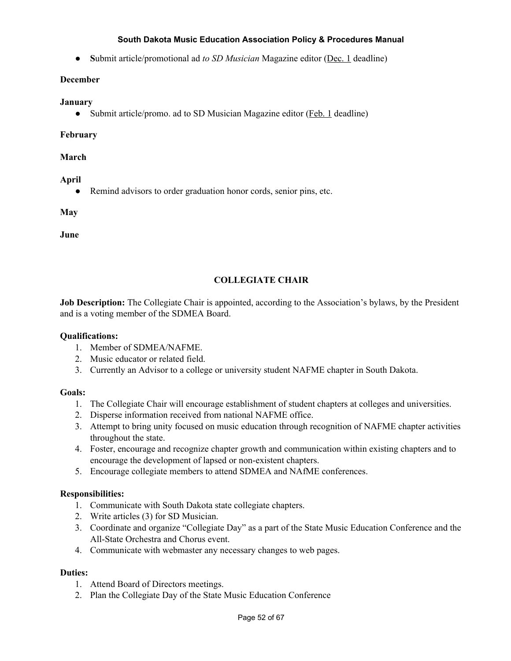**● S**ubmit article/promotional ad *to SD Musician* Magazine editor (Dec. 1 deadline)

### **December**

#### **January**

Submit article/promo. ad to SD Musician Magazine editor (*Feb. 1* deadline)

## **February**

## **March**

## **April**

• Remind advisors to order graduation honor cords, senior pins, etc.

**May**

**June**

# **COLLEGIATE CHAIR**

**Job Description:** The Collegiate Chair is appointed, according to the Association's bylaws, by the President and is a voting member of the SDMEA Board.

#### **Qualifications:**

- 1. Member of SDMEA/NAFME.
- 2. Music educator or related field.
- 3. Currently an Advisor to a college or university student NAFME chapter in South Dakota.

#### **Goals:**

- 1. The Collegiate Chair will encourage establishment of student chapters at colleges and universities.
- 2. Disperse information received from national NAFME office.
- 3. Attempt to bring unity focused on music education through recognition of NAFME chapter activities throughout the state.
- 4. Foster, encourage and recognize chapter growth and communication within existing chapters and to encourage the development of lapsed or non-existent chapters.
- 5. Encourage collegiate members to attend SDMEA and NAfME conferences.

# **Responsibilities:**

- 1. Communicate with South Dakota state collegiate chapters.
- 2. Write articles (3) for SD Musician.
- 3. Coordinate and organize "Collegiate Day" as a part of the State Music Education Conference and the All-State Orchestra and Chorus event.
- 4. Communicate with webmaster any necessary changes to web pages.

- 1. Attend Board of Directors meetings.
- 2. Plan the Collegiate Day of the State Music Education Conference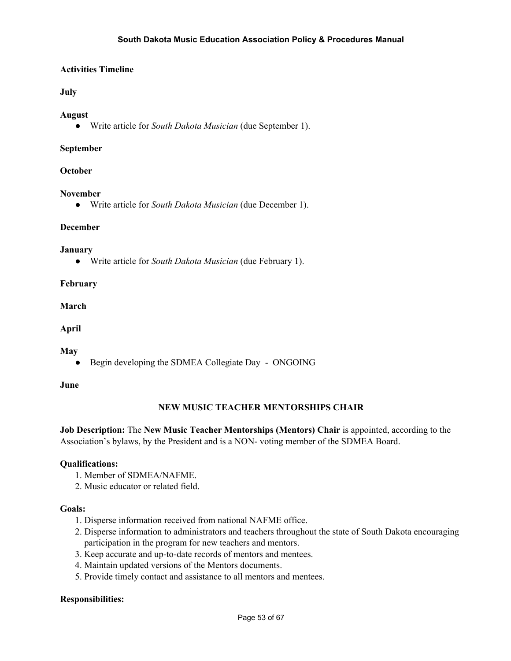# **Activities Timeline**

## **July**

#### **August**

**●** Write article for *South Dakota Musician* (due September 1).

#### **September**

#### **October**

#### **November**

● Write article for *South Dakota Musician* (due December 1).

#### **December**

#### **January**

**●** Write article for *South Dakota Musician* (due February 1).

#### **February**

#### **March**

# **April**

#### **May**

● Begin developing the SDMEA Collegiate Day - ONGOING

#### **June**

#### **NEW MUSIC TEACHER MENTORSHIPS CHAIR**

**Job Description:** The **New Music Teacher Mentorships (Mentors) Chair** is appointed, according to the Association's bylaws, by the President and is a NON- voting member of the SDMEA Board.

#### **Qualifications:**

- 1. Member of SDMEA/NAFME.
- 2. Music educator or related field.

#### **Goals:**

- 1. Disperse information received from national NAFME office.
- 2. Disperse information to administrators and teachers throughout the state of South Dakota encouraging participation in the program for new teachers and mentors.
- 3. Keep accurate and up-to-date records of mentors and mentees.
- 4. Maintain updated versions of the Mentors documents.
- 5. Provide timely contact and assistance to all mentors and mentees.

#### **Responsibilities:**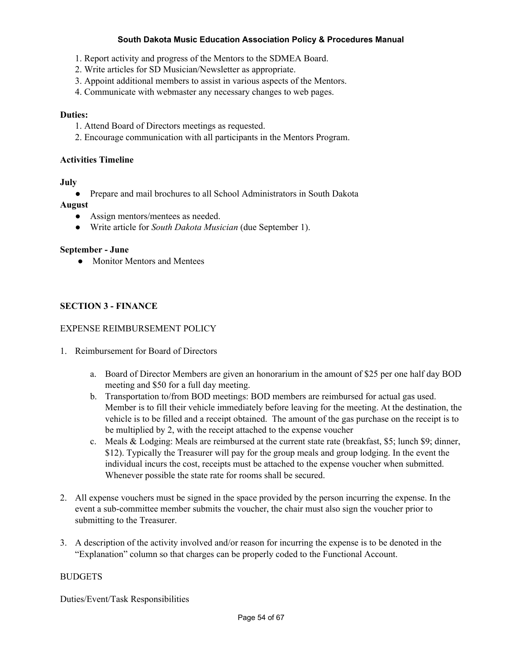- 1. Report activity and progress of the Mentors to the SDMEA Board.
- 2. Write articles for SD Musician/Newsletter as appropriate.
- 3. Appoint additional members to assist in various aspects of the Mentors.
- 4. Communicate with webmaster any necessary changes to web pages.

#### **Duties:**

- 1. Attend Board of Directors meetings as requested.
- 2. Encourage communication with all participants in the Mentors Program.

#### **Activities Timeline**

#### **July**

**●** Prepare and mail brochures to all School Administrators in South Dakota

#### **August**

- **●** Assign mentors/mentees as needed.
- **●** Write article for *South Dakota Musician* (due September 1).

#### **September - June**

**●** Monitor Mentors and Mentees

## **SECTION 3 - FINANCE**

## EXPENSE REIMBURSEMENT POLICY

- 1. Reimbursement for Board of Directors
	- a. Board of Director Members are given an honorarium in the amount of \$25 per one half day BOD meeting and \$50 for a full day meeting.
	- b. Transportation to/from BOD meetings: BOD members are reimbursed for actual gas used. Member is to fill their vehicle immediately before leaving for the meeting. At the destination, the vehicle is to be filled and a receipt obtained. The amount of the gas purchase on the receipt is to be multiplied by 2, with the receipt attached to the expense voucher
	- c. Meals & Lodging: Meals are reimbursed at the current state rate (breakfast, \$5; lunch \$9; dinner, \$12). Typically the Treasurer will pay for the group meals and group lodging. In the event the individual incurs the cost, receipts must be attached to the expense voucher when submitted. Whenever possible the state rate for rooms shall be secured.
- 2. All expense vouchers must be signed in the space provided by the person incurring the expense. In the event a sub-committee member submits the voucher, the chair must also sign the voucher prior to submitting to the Treasurer.
- 3. A description of the activity involved and/or reason for incurring the expense is to be denoted in the "Explanation" column so that charges can be properly coded to the Functional Account.

# BUDGETS

Duties/Event/Task Responsibilities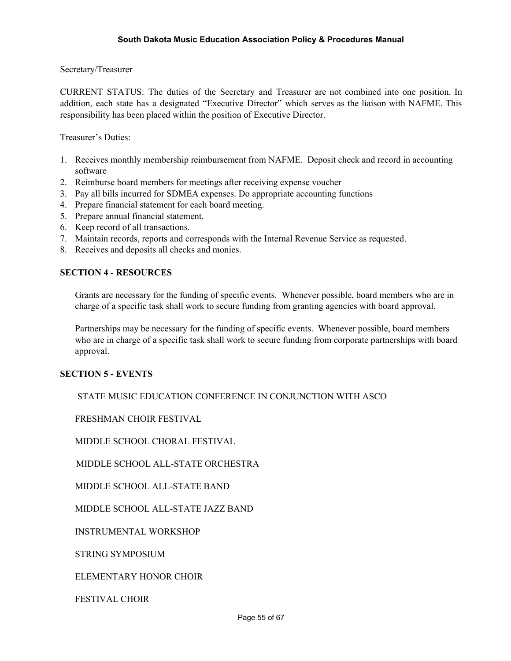Secretary/Treasurer

CURRENT STATUS: The duties of the Secretary and Treasurer are not combined into one position. In addition, each state has a designated "Executive Director" which serves as the liaison with NAFME. This responsibility has been placed within the position of Executive Director.

Treasurer's Duties:

- 1. Receives monthly membership reimbursement from NAFME. Deposit check and record in accounting software
- 2. Reimburse board members for meetings after receiving expense voucher
- 3. Pay all bills incurred for SDMEA expenses. Do appropriate accounting functions
- 4. Prepare financial statement for each board meeting.
- 5. Prepare annual financial statement.
- 6. Keep record of all transactions.
- 7. Maintain records, reports and corresponds with the Internal Revenue Service as requested.
- 8. Receives and deposits all checks and monies.

#### **SECTION 4 - RESOURCES**

Grants are necessary for the funding of specific events. Whenever possible, board members who are in charge of a specific task shall work to secure funding from granting agencies with board approval.

Partnerships may be necessary for the funding of specific events. Whenever possible, board members who are in charge of a specific task shall work to secure funding from corporate partnerships with board approval.

#### **SECTION 5 - EVENTS**

STATE MUSIC EDUCATION CONFERENCE IN CONJUNCTION WITH ASCO

FRESHMAN CHOIR FESTIVAL

MIDDLE SCHOOL CHORAL FESTIVAL

MIDDLE SCHOOL ALL-STATE ORCHESTRA

MIDDLE SCHOOL ALL-STATE BAND

MIDDLE SCHOOL ALL-STATE JAZZ BAND

INSTRUMENTAL WORKSHOP

STRING SYMPOSIUM

ELEMENTARY HONOR CHOIR

FESTIVAL CHOIR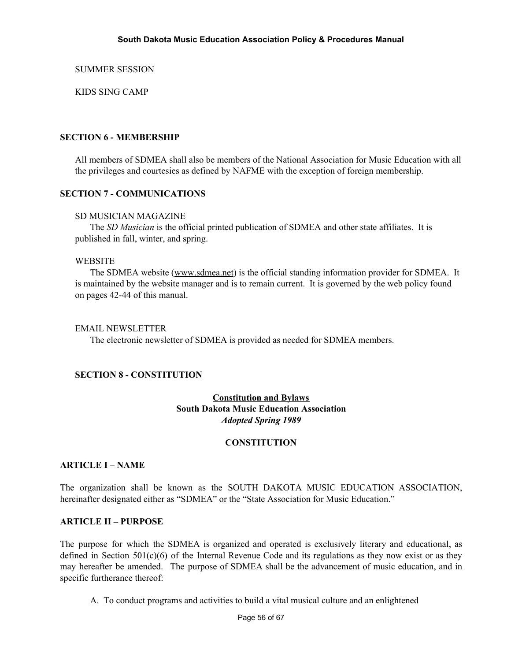SUMMER SESSION

KIDS SING CAMP

# **SECTION 6 - MEMBERSHIP**

All members of SDMEA shall also be members of the National Association for Music Education with all the privileges and courtesies as defined by NAFME with the exception of foreign membership.

## **SECTION 7 - COMMUNICATIONS**

#### SD MUSICIAN MAGAZINE

The *SD Musician* is the official printed publication of SDMEA and other state affiliates. It is published in fall, winter, and spring.

#### **WEBSITE**

The SDMEA website [\(www.sdmea.net\)](http://www.sdmea.net/) is the official standing information provider for SDMEA. It is maintained by the website manager and is to remain current. It is governed by the web policy found on pages 42-44 of this manual.

## EMAIL NEWSLETTER

The electronic newsletter of SDMEA is provided as needed for SDMEA members.

#### **SECTION 8 - CONSTITUTION**

# **Constitution and Bylaws South Dakota Music Education Association** *Adopted Spring 1989*

# **CONSTITUTION**

#### **ARTICLE I – NAME**

The organization shall be known as the SOUTH DAKOTA MUSIC EDUCATION ASSOCIATION, hereinafter designated either as "SDMEA" or the "State Association for Music Education."

#### **ARTICLE II – PURPOSE**

The purpose for which the SDMEA is organized and operated is exclusively literary and educational, as defined in Section 501(c)(6) of the Internal Revenue Code and its regulations as they now exist or as they may hereafter be amended. The purpose of SDMEA shall be the advancement of music education, and in specific furtherance thereof:

A. To conduct programs and activities to build a vital musical culture and an enlightened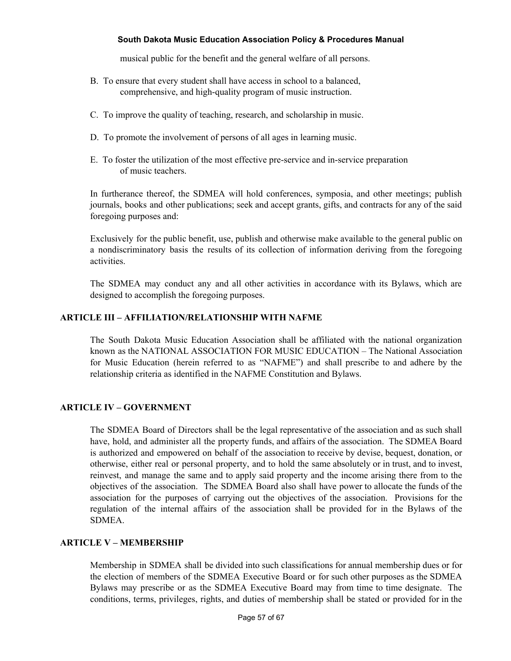musical public for the benefit and the general welfare of all persons.

- B. To ensure that every student shall have access in school to a balanced, comprehensive, and high-quality program of music instruction.
- C. To improve the quality of teaching, research, and scholarship in music.
- D. To promote the involvement of persons of all ages in learning music.
- E. To foster the utilization of the most effective pre-service and in-service preparation of music teachers.

In furtherance thereof, the SDMEA will hold conferences, symposia, and other meetings; publish journals, books and other publications; seek and accept grants, gifts, and contracts for any of the said foregoing purposes and:

Exclusively for the public benefit, use, publish and otherwise make available to the general public on a nondiscriminatory basis the results of its collection of information deriving from the foregoing activities.

The SDMEA may conduct any and all other activities in accordance with its Bylaws, which are designed to accomplish the foregoing purposes.

# **ARTICLE III – AFFILIATION/RELATIONSHIP WITH NAFME**

The South Dakota Music Education Association shall be affiliated with the national organization known as the NATIONAL ASSOCIATION FOR MUSIC EDUCATION – The National Association for Music Education (herein referred to as "NAFME") and shall prescribe to and adhere by the relationship criteria as identified in the NAFME Constitution and Bylaws.

#### **ARTICLE IV – GOVERNMENT**

The SDMEA Board of Directors shall be the legal representative of the association and as such shall have, hold, and administer all the property funds, and affairs of the association. The SDMEA Board is authorized and empowered on behalf of the association to receive by devise, bequest, donation, or otherwise, either real or personal property, and to hold the same absolutely or in trust, and to invest, reinvest, and manage the same and to apply said property and the income arising there from to the objectives of the association. The SDMEA Board also shall have power to allocate the funds of the association for the purposes of carrying out the objectives of the association. Provisions for the regulation of the internal affairs of the association shall be provided for in the Bylaws of the SDMEA.

### **ARTICLE V – MEMBERSHIP**

Membership in SDMEA shall be divided into such classifications for annual membership dues or for the election of members of the SDMEA Executive Board or for such other purposes as the SDMEA Bylaws may prescribe or as the SDMEA Executive Board may from time to time designate. The conditions, terms, privileges, rights, and duties of membership shall be stated or provided for in the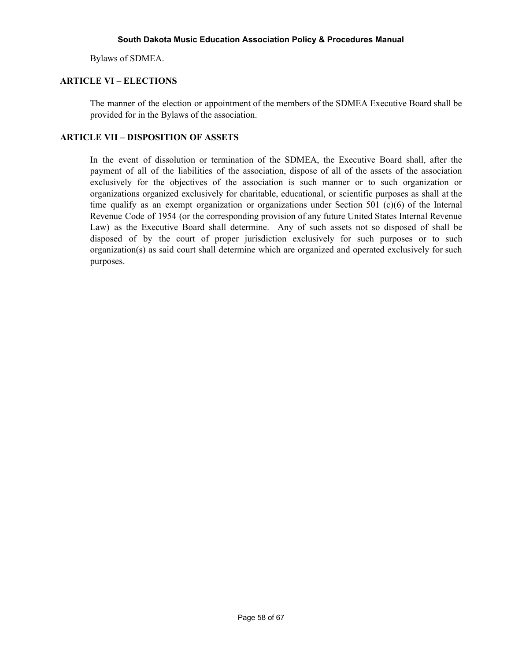Bylaws of SDMEA.

# **ARTICLE VI – ELECTIONS**

The manner of the election or appointment of the members of the SDMEA Executive Board shall be provided for in the Bylaws of the association.

## **ARTICLE VII – DISPOSITION OF ASSETS**

In the event of dissolution or termination of the SDMEA, the Executive Board shall, after the payment of all of the liabilities of the association, dispose of all of the assets of the association exclusively for the objectives of the association is such manner or to such organization or organizations organized exclusively for charitable, educational, or scientific purposes as shall at the time qualify as an exempt organization or organizations under Section 501 (c)(6) of the Internal Revenue Code of 1954 (or the corresponding provision of any future United States Internal Revenue Law) as the Executive Board shall determine. Any of such assets not so disposed of shall be disposed of by the court of proper jurisdiction exclusively for such purposes or to such organization(s) as said court shall determine which are organized and operated exclusively for such purposes.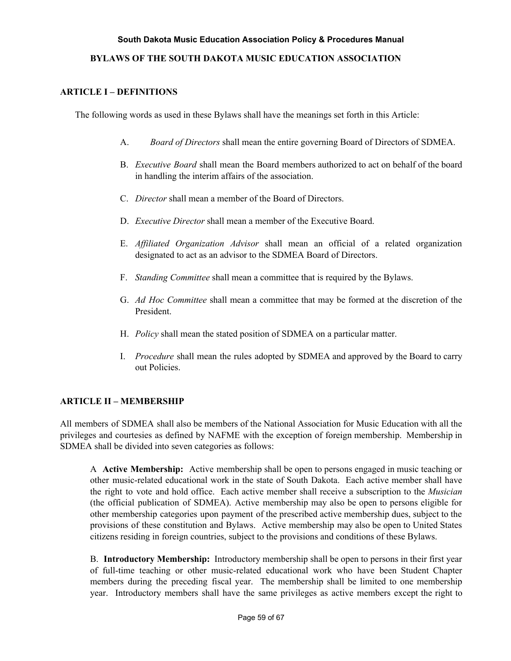## **BYLAWS OF THE SOUTH DAKOTA MUSIC EDUCATION ASSOCIATION**

## **ARTICLE I – DEFINITIONS**

The following words as used in these Bylaws shall have the meanings set forth in this Article:

- A. *Board of Directors* shall mean the entire governing Board of Directors of SDMEA.
- B. *Executive Board* shall mean the Board members authorized to act on behalf of the board in handling the interim affairs of the association.
- C. *Director* shall mean a member of the Board of Directors.
- D. *Executive Director* shall mean a member of the Executive Board.
- E. *Af iliated Organization Advisor* shall mean an official of a related organization designated to act as an advisor to the SDMEA Board of Directors.
- F. *Standing Committee* shall mean a committee that is required by the Bylaws.
- G. *Ad Hoc Committee* shall mean a committee that may be formed at the discretion of the President.
- H. *Policy* shall mean the stated position of SDMEA on a particular matter.
- I. *Procedure* shall mean the rules adopted by SDMEA and approved by the Board to carry out Policies.

# **ARTICLE II – MEMBERSHIP**

All members of SDMEA shall also be members of the National Association for Music Education with all the privileges and courtesies as defined by NAFME with the exception of foreign membership. Membership in SDMEA shall be divided into seven categories as follows:

A **Active Membership:** Active membership shall be open to persons engaged in music teaching or other music-related educational work in the state of South Dakota. Each active member shall have the right to vote and hold office. Each active member shall receive a subscription to the *Musician* (the official publication of SDMEA). Active membership may also be open to persons eligible for other membership categories upon payment of the prescribed active membership dues, subject to the provisions of these constitution and Bylaws. Active membership may also be open to United States citizens residing in foreign countries, subject to the provisions and conditions of these Bylaws.

B. **Introductory Membership:** Introductory membership shall be open to persons in their first year of full-time teaching or other music-related educational work who have been Student Chapter members during the preceding fiscal year. The membership shall be limited to one membership year. Introductory members shall have the same privileges as active members except the right to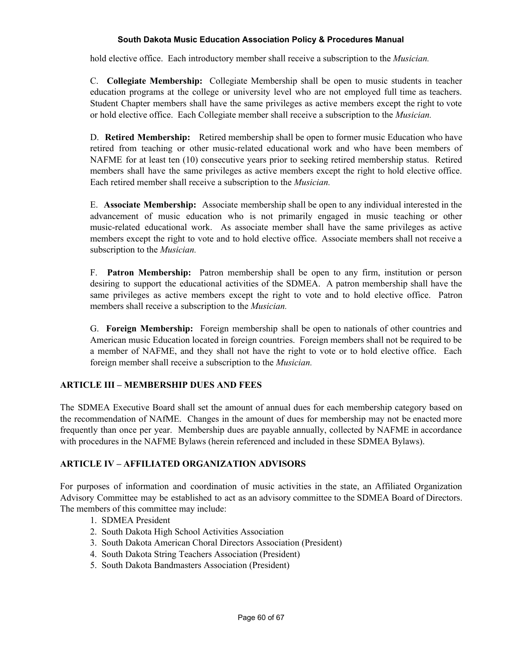hold elective office. Each introductory member shall receive a subscription to the *Musician.*

C. **Collegiate Membership:** Collegiate Membership shall be open to music students in teacher education programs at the college or university level who are not employed full time as teachers. Student Chapter members shall have the same privileges as active members except the right to vote or hold elective office. Each Collegiate member shall receive a subscription to the *Musician.*

D. **Retired Membership:** Retired membership shall be open to former music Education who have retired from teaching or other music-related educational work and who have been members of NAFME for at least ten (10) consecutive years prior to seeking retired membership status. Retired members shall have the same privileges as active members except the right to hold elective office. Each retired member shall receive a subscription to the *Musician.*

E. **Associate Membership:** Associate membership shall be open to any individual interested in the advancement of music education who is not primarily engaged in music teaching or other music-related educational work. As associate member shall have the same privileges as active members except the right to vote and to hold elective office. Associate members shall not receive a subscription to the *Musician.*

F. **Patron Membership:** Patron membership shall be open to any firm, institution or person desiring to support the educational activities of the SDMEA. A patron membership shall have the same privileges as active members except the right to vote and to hold elective office. Patron members shall receive a subscription to the *Musician.*

G. **Foreign Membership:** Foreign membership shall be open to nationals of other countries and American music Education located in foreign countries. Foreign members shall not be required to be a member of NAFME, and they shall not have the right to vote or to hold elective office. Each foreign member shall receive a subscription to the *Musician.*

# **ARTICLE III – MEMBERSHIP DUES AND FEES**

The SDMEA Executive Board shall set the amount of annual dues for each membership category based on the recommendation of NAfME. Changes in the amount of dues for membership may not be enacted more frequently than once per year. Membership dues are payable annually, collected by NAFME in accordance with procedures in the NAFME Bylaws (herein referenced and included in these SDMEA Bylaws).

# **ARTICLE IV – AFFILIATED ORGANIZATION ADVISORS**

For purposes of information and coordination of music activities in the state, an Affiliated Organization Advisory Committee may be established to act as an advisory committee to the SDMEA Board of Directors. The members of this committee may include:

- 1. SDMEA President
- 2. South Dakota High School Activities Association
- 3. South Dakota American Choral Directors Association (President)
- 4. South Dakota String Teachers Association (President)
- 5. South Dakota Bandmasters Association (President)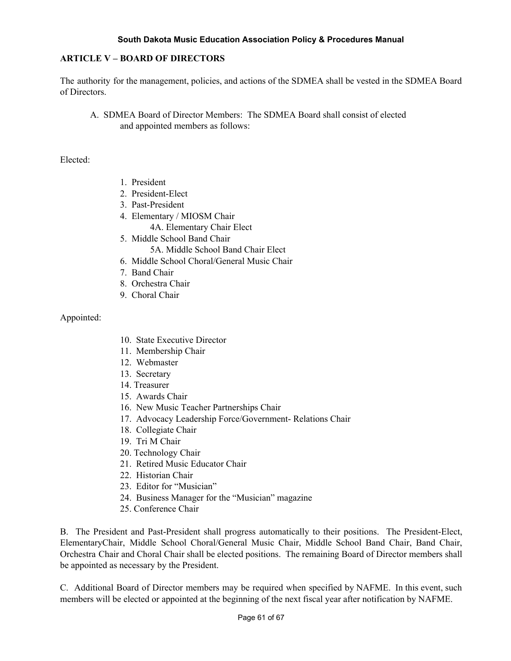## **ARTICLE V – BOARD OF DIRECTORS**

The authority for the management, policies, and actions of the SDMEA shall be vested in the SDMEA Board of Directors.

A. SDMEA Board of Director Members: The SDMEA Board shall consist of elected and appointed members as follows:

#### Elected:

- 1. President
- 2. President-Elect
- 3. Past-President
- 4. Elementary / MIOSM Chair
	- 4A. Elementary Chair Elect
- 5. Middle School Band Chair 5A. Middle School Band Chair Elect
- 6. Middle School Choral/General Music Chair
- 7. Band Chair
- 8. Orchestra Chair
- 9. Choral Chair

## Appointed:

- 10. State Executive Director
- 11. Membership Chair
- 12. Webmaster
- 13. Secretary
- 14. Treasurer
- 15. Awards Chair
- 16. New Music Teacher Partnerships Chair
- 17. Advocacy Leadership Force/Government- Relations Chair
- 18. Collegiate Chair
- 19. Tri M Chair
- 20. Technology Chair
- 21. Retired Music Educator Chair
- 22. Historian Chair
- 23. Editor for "Musician"
- 24. Business Manager for the "Musician" magazine
- 25. Conference Chair

B. The President and Past-President shall progress automatically to their positions. The President-Elect, ElementaryChair, Middle School Choral/General Music Chair, Middle School Band Chair, Band Chair, Orchestra Chair and Choral Chair shall be elected positions. The remaining Board of Director members shall be appointed as necessary by the President.

C. Additional Board of Director members may be required when specified by NAFME. In this event, such members will be elected or appointed at the beginning of the next fiscal year after notification by NAFME.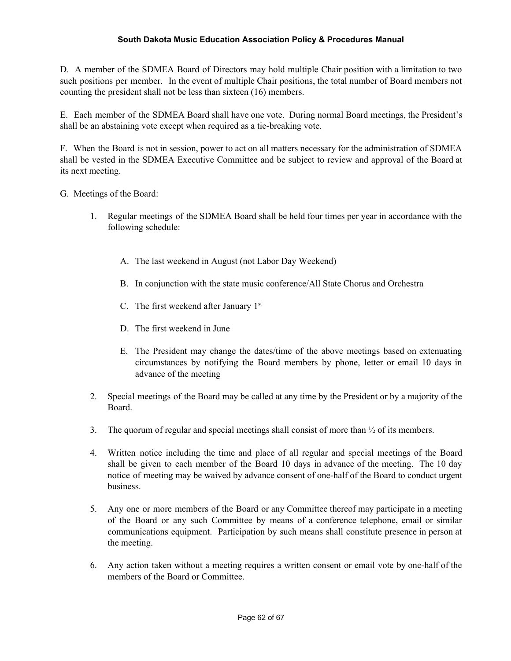D. A member of the SDMEA Board of Directors may hold multiple Chair position with a limitation to two such positions per member. In the event of multiple Chair positions, the total number of Board members not counting the president shall not be less than sixteen (16) members.

E. Each member of the SDMEA Board shall have one vote. During normal Board meetings, the President's shall be an abstaining vote except when required as a tie-breaking vote.

F. When the Board is not in session, power to act on all matters necessary for the administration of SDMEA shall be vested in the SDMEA Executive Committee and be subject to review and approval of the Board at its next meeting.

G. Meetings of the Board:

- 1. Regular meetings of the SDMEA Board shall be held four times per year in accordance with the following schedule:
	- A. The last weekend in August (not Labor Day Weekend)
	- B. In conjunction with the state music conference/All State Chorus and Orchestra
	- C. The first weekend after January  $1<sup>st</sup>$
	- D. The first weekend in June.
	- E. The President may change the dates/time of the above meetings based on extenuating circumstances by notifying the Board members by phone, letter or email 10 days in advance of the meeting
- 2. Special meetings of the Board may be called at any time by the President or by a majority of the Board.
- 3. The quorum of regular and special meetings shall consist of more than  $\frac{1}{2}$  of its members.
- 4. Written notice including the time and place of all regular and special meetings of the Board shall be given to each member of the Board 10 days in advance of the meeting. The 10 day notice of meeting may be waived by advance consent of one-half of the Board to conduct urgent business.
- 5. Any one or more members of the Board or any Committee thereof may participate in a meeting of the Board or any such Committee by means of a conference telephone, email or similar communications equipment. Participation by such means shall constitute presence in person at the meeting.
- 6. Any action taken without a meeting requires a written consent or email vote by one-half of the members of the Board or Committee.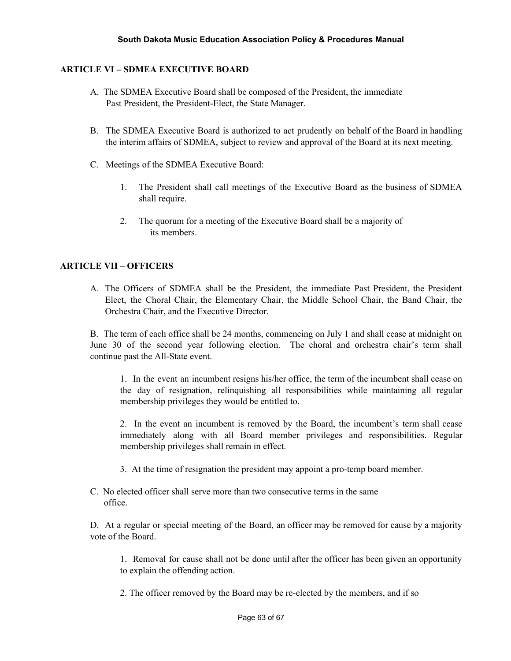# **ARTICLE VI – SDMEA EXECUTIVE BOARD**

- A. The SDMEA Executive Board shall be composed of the President, the immediate Past President, the President-Elect, the State Manager.
- B. The SDMEA Executive Board is authorized to act prudently on behalf of the Board in handling the interim affairs of SDMEA, subject to review and approval of the Board at its next meeting.
- C. Meetings of the SDMEA Executive Board:
	- 1. The President shall call meetings of the Executive Board as the business of SDMEA shall require.
	- 2. The quorum for a meeting of the Executive Board shall be a majority of its members.

## **ARTICLE VII – OFFICERS**

A. The Officers of SDMEA shall be the President, the immediate Past President, the President Elect, the Choral Chair, the Elementary Chair, the Middle School Chair, the Band Chair, the Orchestra Chair, and the Executive Director.

B. The term of each office shall be 24 months, commencing on July 1 and shall cease at midnight on June 30 of the second year following election. The choral and orchestra chair's term shall continue past the All-State event.

1. In the event an incumbent resigns his/her office, the term of the incumbent shall cease on the day of resignation, relinquishing all responsibilities while maintaining all regular membership privileges they would be entitled to.

2. In the event an incumbent is removed by the Board, the incumbent's term shall cease immediately along with all Board member privileges and responsibilities. Regular membership privileges shall remain in effect.

- 3. At the time of resignation the president may appoint a pro-temp board member.
- C. No elected officer shall serve more than two consecutive terms in the same office.

D. At a regular or special meeting of the Board, an officer may be removed for cause by a majority vote of the Board.

1. Removal for cause shall not be done until after the officer has been given an opportunity to explain the offending action.

2. The officer removed by the Board may be re-elected by the members, and if so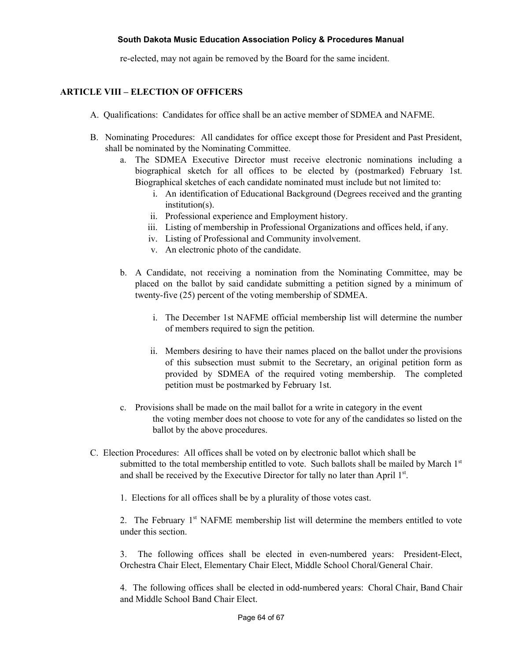re-elected, may not again be removed by the Board for the same incident.

# **ARTICLE VIII – ELECTION OF OFFICERS**

- A. Qualifications: Candidates for office shall be an active member of SDMEA and NAFME.
- B. Nominating Procedures: All candidates for office except those for President and Past President, shall be nominated by the Nominating Committee.
	- a. The SDMEA Executive Director must receive electronic nominations including a biographical sketch for all offices to be elected by (postmarked) February 1st. Biographical sketches of each candidate nominated must include but not limited to:
		- i. An identification of Educational Background (Degrees received and the granting institution(s).
		- ii. Professional experience and Employment history.
		- iii. Listing of membership in Professional Organizations and offices held, if any.
		- iv. Listing of Professional and Community involvement.
		- v. An electronic photo of the candidate.
	- b. A Candidate, not receiving a nomination from the Nominating Committee, may be placed on the ballot by said candidate submitting a petition signed by a minimum of twenty-five (25) percent of the voting membership of SDMEA.
		- i. The December 1st NAFME official membership list will determine the number of members required to sign the petition.
		- ii. Members desiring to have their names placed on the ballot under the provisions of this subsection must submit to the Secretary, an original petition form as provided by SDMEA of the required voting membership. The completed petition must be postmarked by February 1st.
	- c. Provisions shall be made on the mail ballot for a write in category in the event the voting member does not choose to vote for any of the candidates so listed on the ballot by the above procedures.
- C. Election Procedures: All offices shall be voted on by electronic ballot which shall be submitted to the total membership entitled to vote. Such ballots shall be mailed by March 1st and shall be received by the Executive Director for tally no later than April 1st.

1. Elections for all offices shall be by a plurality of those votes cast.

2. The February 1<sup>st</sup> NAFME membership list will determine the members entitled to vote under this section.

3. The following offices shall be elected in even-numbered years: President-Elect, Orchestra Chair Elect, Elementary Chair Elect, Middle School Choral/General Chair.

4. The following offices shall be elected in odd-numbered years: Choral Chair, Band Chair and Middle School Band Chair Elect.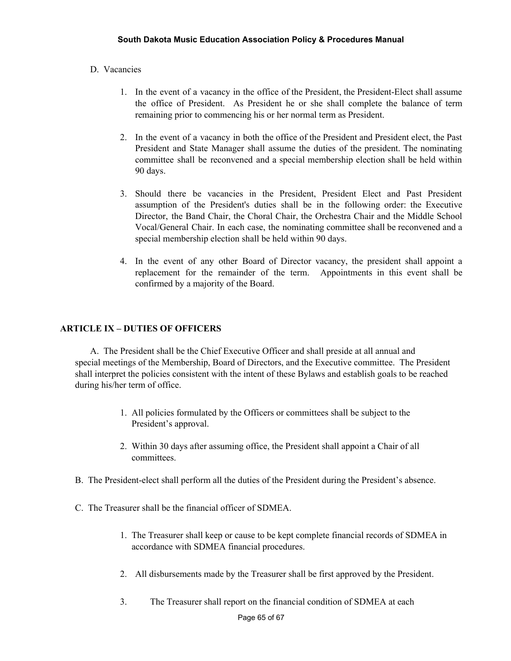# D. Vacancies

- 1. In the event of a vacancy in the office of the President, the President-Elect shall assume the office of President. As President he or she shall complete the balance of term remaining prior to commencing his or her normal term as President.
- 2. In the event of a vacancy in both the office of the President and President elect, the Past President and State Manager shall assume the duties of the president. The nominating committee shall be reconvened and a special membership election shall be held within 90 days.
- 3. Should there be vacancies in the President, President Elect and Past President assumption of the President's duties shall be in the following order: the Executive Director, the Band Chair, the Choral Chair, the Orchestra Chair and the Middle School Vocal/General Chair. In each case, the nominating committee shall be reconvened and a special membership election shall be held within 90 days.
- 4. In the event of any other Board of Director vacancy, the president shall appoint a replacement for the remainder of the term. Appointments in this event shall be confirmed by a majority of the Board.

## **ARTICLE IX – DUTIES OF OFFICERS**

A. The President shall be the Chief Executive Officer and shall preside at all annual and special meetings of the Membership, Board of Directors, and the Executive committee. The President shall interpret the policies consistent with the intent of these Bylaws and establish goals to be reached during his/her term of office.

- 1. All policies formulated by the Officers or committees shall be subject to the President's approval.
- 2. Within 30 days after assuming office, the President shall appoint a Chair of all committees.
- B. The President-elect shall perform all the duties of the President during the President's absence.
- C. The Treasurer shall be the financial officer of SDMEA.
	- 1. The Treasurer shall keep or cause to be kept complete financial records of SDMEA in accordance with SDMEA financial procedures.
	- 2. All disbursements made by the Treasurer shall be first approved by the President.
	- 3. The Treasurer shall report on the financial condition of SDMEA at each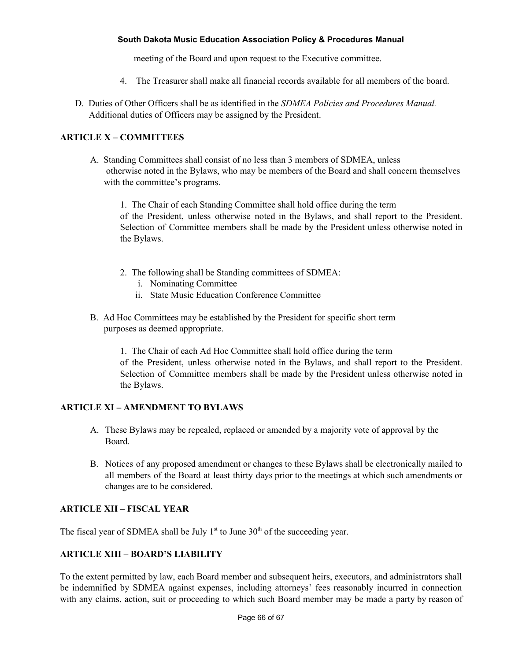meeting of the Board and upon request to the Executive committee.

- 4. The Treasurer shall make all financial records available for all members of the board.
- D. Duties of Other Officers shall be as identified in the *SDMEA Policies and Procedures Manual.* Additional duties of Officers may be assigned by the President.

# **ARTICLE X – COMMITTEES**

A. Standing Committees shall consist of no less than 3 members of SDMEA, unless otherwise noted in the Bylaws, who may be members of the Board and shall concern themselves with the committee's programs.

1. The Chair of each Standing Committee shall hold office during the term of the President, unless otherwise noted in the Bylaws, and shall report to the President. Selection of Committee members shall be made by the President unless otherwise noted in the Bylaws.

- 2. The following shall be Standing committees of SDMEA:
	- i. Nominating Committee
	- ii. State Music Education Conference Committee
- B. Ad Hoc Committees may be established by the President for specific short term purposes as deemed appropriate.

1. The Chair of each Ad Hoc Committee shall hold office during the term of the President, unless otherwise noted in the Bylaws, and shall report to the President. Selection of Committee members shall be made by the President unless otherwise noted in the Bylaws.

#### **ARTICLE XI – AMENDMENT TO BYLAWS**

- A. These Bylaws may be repealed, replaced or amended by a majority vote of approval by the Board.
- B. Notices of any proposed amendment or changes to these Bylaws shall be electronically mailed to all members of the Board at least thirty days prior to the meetings at which such amendments or changes are to be considered.

# **ARTICLE XII – FISCAL YEAR**

The fiscal year of SDMEA shall be July  $1<sup>st</sup>$  to June  $30<sup>th</sup>$  of the succeeding year.

#### **ARTICLE XIII – BOARD'S LIABILITY**

To the extent permitted by law, each Board member and subsequent heirs, executors, and administrators shall be indemnified by SDMEA against expenses, including attorneys' fees reasonably incurred in connection with any claims, action, suit or proceeding to which such Board member may be made a party by reason of